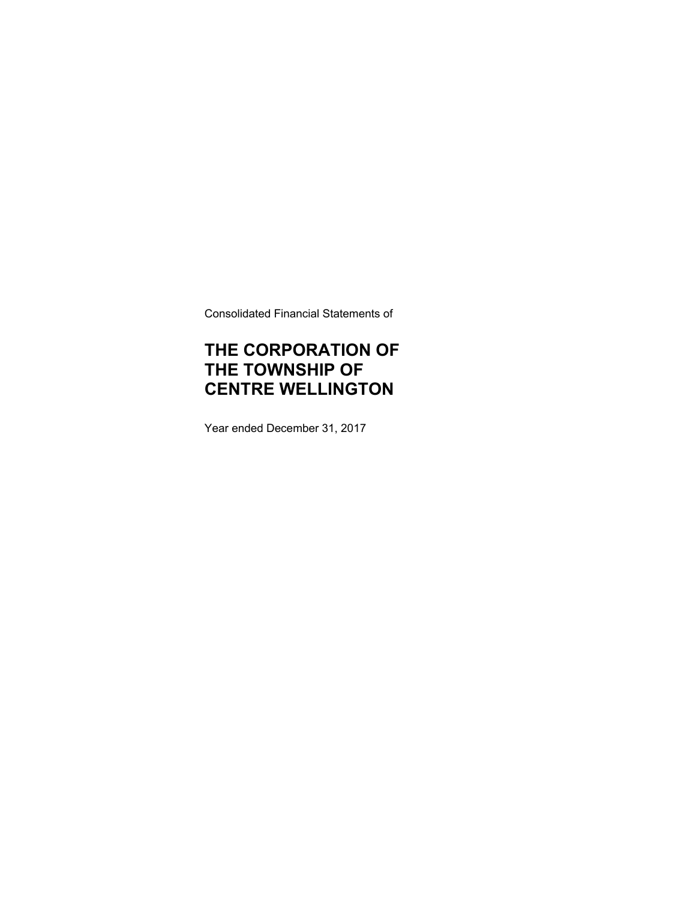Consolidated Financial Statements of

# **THE CORPORATION OF THE TOWNSHIP OF CENTRE WELLINGTON**

Year ended December 31, 2017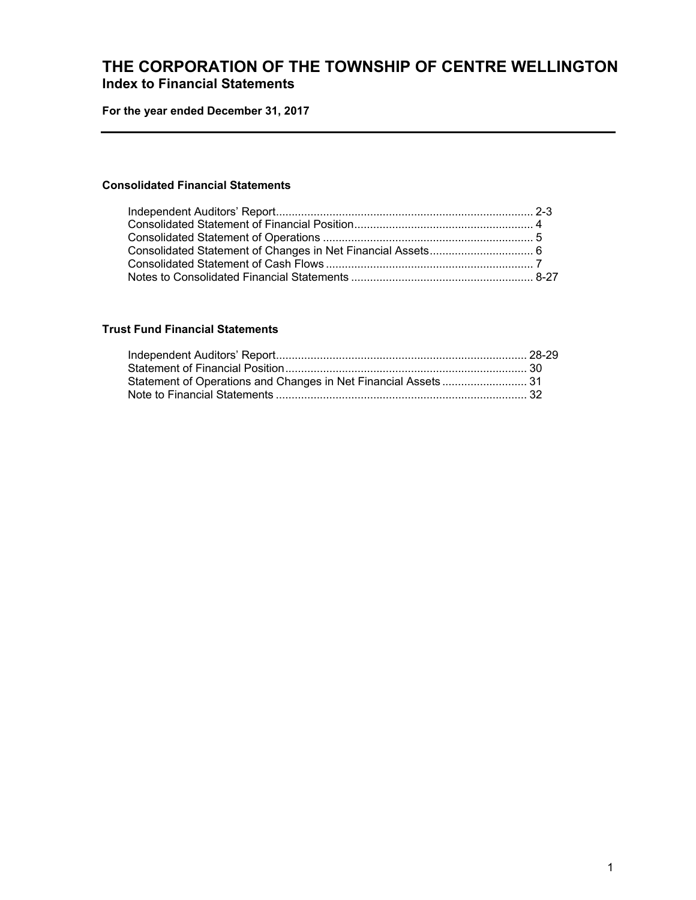## **THE CORPORATION OF THE TOWNSHIP OF CENTRE WELLINGTON Index to Financial Statements**

**For the year ended December 31, 2017** 

### **Consolidated Financial Statements**

## **Trust Fund Financial Statements**

| Statement of Operations and Changes in Net Financial Assets  31 |  |
|-----------------------------------------------------------------|--|
|                                                                 |  |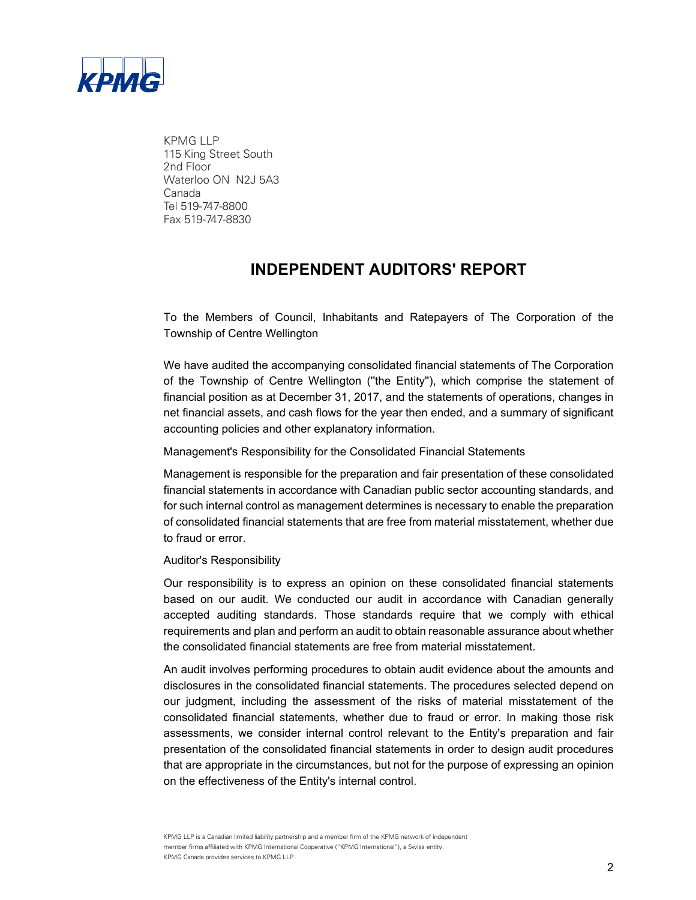

KPMG LLP 115 King Street South 2nd Floor Waterloo ON N2J 5A3 Canada Tel 519-747-8800 Fax 519-747-8830

## **INDEPENDENT AUDITORS' REPORT**

To the Members of Council, Inhabitants and Ratepayers of The Corporation of the Township of Centre Wellington

We have audited the accompanying consolidated financial statements of The Corporation of the Township of Centre Wellington (''the Entity''), which comprise the statement of financial position as at December 31, 2017, and the statements of operations, changes in net financial assets, and cash flows for the year then ended, and a summary of significant accounting policies and other explanatory information.

Management's Responsibility for the Consolidated Financial Statements

Management is responsible for the preparation and fair presentation of these consolidated financial statements in accordance with Canadian public sector accounting standards, and for such internal control as management determines is necessary to enable the preparation of consolidated financial statements that are free from material misstatement, whether due to fraud or error.

#### Auditor's Responsibility

Our responsibility is to express an opinion on these consolidated financial statements based on our audit. We conducted our audit in accordance with Canadian generally accepted auditing standards. Those standards require that we comply with ethical requirements and plan and perform an audit to obtain reasonable assurance about whether the consolidated financial statements are free from material misstatement.

An audit involves performing procedures to obtain audit evidence about the amounts and disclosures in the consolidated financial statements. The procedures selected depend on our judgment, including the assessment of the risks of material misstatement of the consolidated financial statements, whether due to fraud or error. In making those risk assessments, we consider internal control relevant to the Entity's preparation and fair presentation of the consolidated financial statements in order to design audit procedures that are appropriate in the circumstances, but not for the purpose of expressing an opinion on the effectiveness of the Entity's internal control.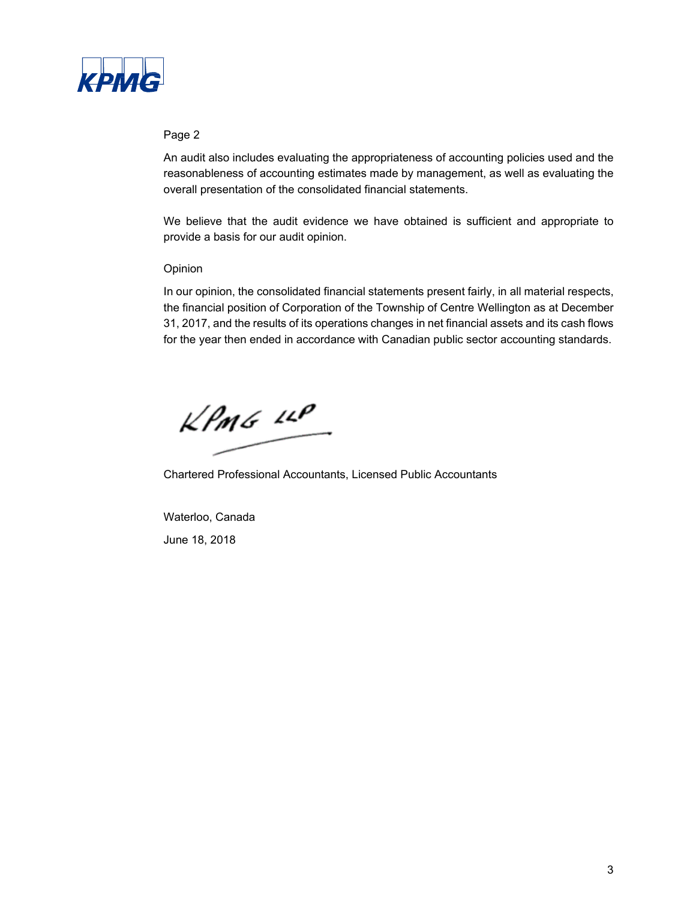

### Page 2

An audit also includes evaluating the appropriateness of accounting policies used and the reasonableness of accounting estimates made by management, as well as evaluating the overall presentation of the consolidated financial statements.

We believe that the audit evidence we have obtained is sufficient and appropriate to provide a basis for our audit opinion.

## Opinion

In our opinion, the consolidated financial statements present fairly, in all material respects, the financial position of Corporation of the Township of Centre Wellington as at December 31, 2017, and the results of its operations changes in net financial assets and its cash flows for the year then ended in accordance with Canadian public sector accounting standards.

 $k$ *PMG*  $\mu$ 

Chartered Professional Accountants, Licensed Public Accountants

Waterloo, Canada June 18, 2018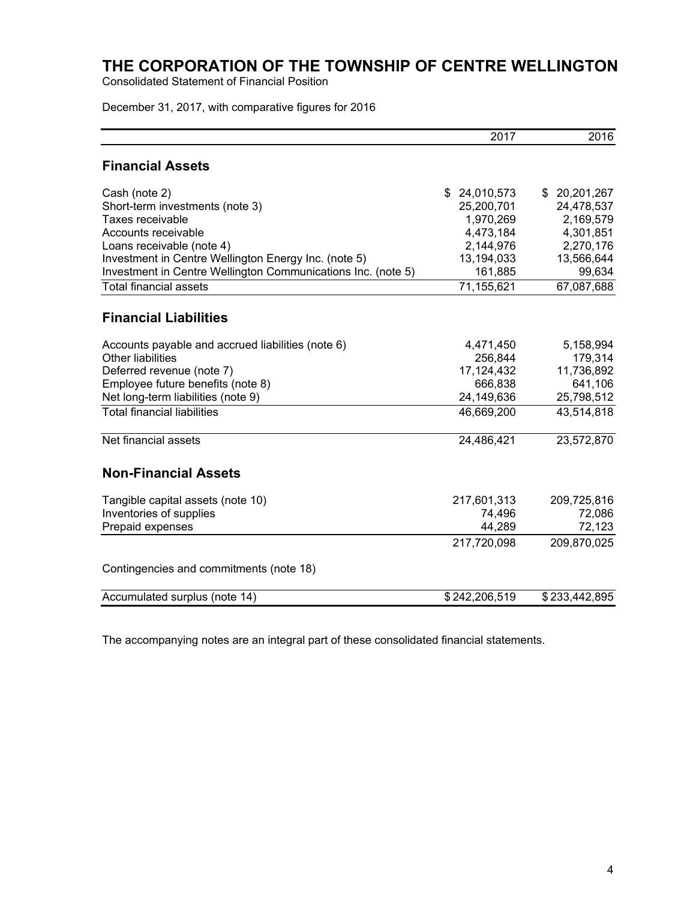Consolidated Statement of Financial Position

December 31, 2017, with comparative figures for 2016

|                                                              | 2017             | 2016          |
|--------------------------------------------------------------|------------------|---------------|
| <b>Financial Assets</b>                                      |                  |               |
| Cash (note 2)                                                | \$<br>24,010,573 | \$20,201,267  |
| Short-term investments (note 3)                              | 25,200,701       | 24,478,537    |
| Taxes receivable                                             | 1,970,269        | 2,169,579     |
| Accounts receivable                                          | 4,473,184        | 4,301,851     |
| Loans receivable (note 4)                                    | 2,144,976        | 2,270,176     |
| Investment in Centre Wellington Energy Inc. (note 5)         | 13,194,033       | 13,566,644    |
| Investment in Centre Wellington Communications Inc. (note 5) | 161,885          | 99,634        |
| <b>Total financial assets</b>                                | 71,155,621       | 67,087,688    |
| <b>Financial Liabilities</b>                                 |                  |               |
| Accounts payable and accrued liabilities (note 6)            | 4,471,450        | 5,158,994     |
| <b>Other liabilities</b>                                     | 256,844          | 179,314       |
| Deferred revenue (note 7)                                    | 17, 124, 432     | 11,736,892    |
| Employee future benefits (note 8)                            | 666,838          | 641,106       |
| Net long-term liabilities (note 9)                           | 24,149,636       | 25,798,512    |
| <b>Total financial liabilities</b>                           | 46,669,200       | 43,514,818    |
| Net financial assets                                         | 24,486,421       | 23,572,870    |
| <b>Non-Financial Assets</b>                                  |                  |               |
| Tangible capital assets (note 10)                            | 217,601,313      | 209,725,816   |
| Inventories of supplies                                      | 74,496           | 72,086        |
| Prepaid expenses                                             | 44,289           | 72,123        |
|                                                              | 217,720,098      | 209,870,025   |
| Contingencies and commitments (note 18)                      |                  |               |
| Accumulated surplus (note 14)                                | \$242,206,519    | \$233,442,895 |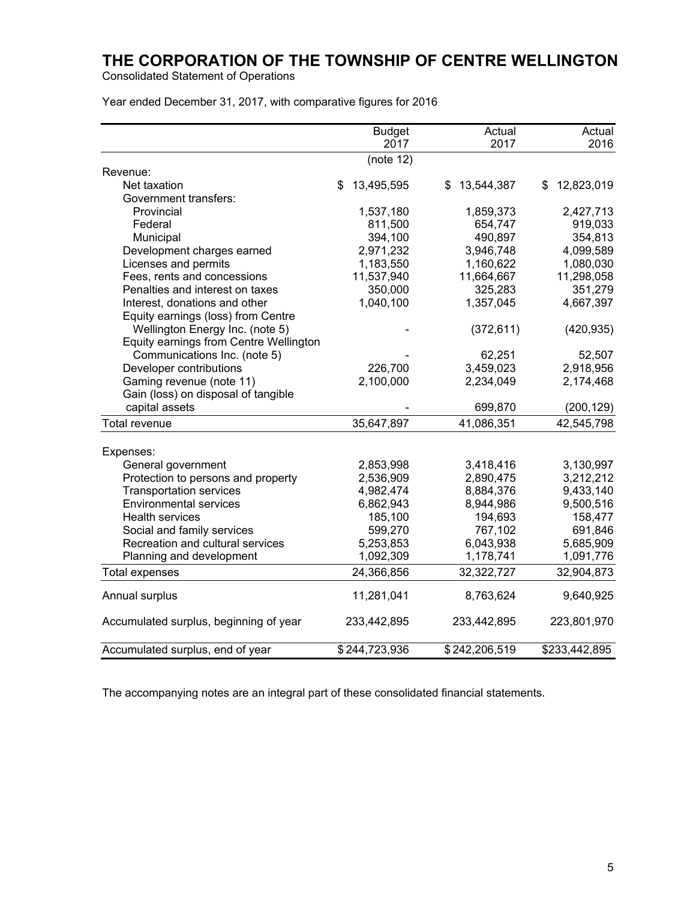Consolidated Statement of Operations

|  | Year ended December 31, 2017, with comparative figures for 2016 |  |  |  |
|--|-----------------------------------------------------------------|--|--|--|
|--|-----------------------------------------------------------------|--|--|--|

|                                        | <b>Budget</b><br>2017 | Actual<br>2017   | Actual<br>2016   |
|----------------------------------------|-----------------------|------------------|------------------|
|                                        | (note 12)             |                  |                  |
| Revenue:                               |                       |                  |                  |
| Net taxation                           | \$<br>13,495,595      | \$<br>13,544,387 | \$<br>12,823,019 |
| Government transfers:                  |                       |                  |                  |
| Provincial                             | 1,537,180             | 1,859,373        | 2,427,713        |
| Federal                                | 811,500               | 654,747          | 919,033          |
| Municipal                              | 394,100               | 490,897          | 354,813          |
| Development charges earned             | 2,971,232             | 3,946,748        | 4,099,589        |
| Licenses and permits                   | 1,183,550             | 1,160,622        | 1,080,030        |
| Fees, rents and concessions            | 11,537,940            | 11,664,667       | 11,298,058       |
| Penalties and interest on taxes        | 350,000               | 325,283          | 351,279          |
| Interest, donations and other          | 1,040,100             | 1,357,045        | 4,667,397        |
| Equity earnings (loss) from Centre     |                       |                  |                  |
| Wellington Energy Inc. (note 5)        |                       | (372, 611)       | (420, 935)       |
| Equity earnings from Centre Wellington |                       |                  |                  |
| Communications Inc. (note 5)           |                       | 62,251           | 52,507           |
| Developer contributions                | 226,700               | 3,459,023        | 2,918,956        |
| Gaming revenue (note 11)               | 2,100,000             | 2,234,049        | 2,174,468        |
| Gain (loss) on disposal of tangible    |                       |                  |                  |
| capital assets                         |                       | 699,870          | (200, 129)       |
| Total revenue                          | 35,647,897            | 41,086,351       | 42,545,798       |
| Expenses:                              |                       |                  |                  |
| General government                     | 2,853,998             | 3,418,416        | 3,130,997        |
| Protection to persons and property     | 2,536,909             | 2,890,475        | 3,212,212        |
| <b>Transportation services</b>         | 4,982,474             | 8,884,376        | 9,433,140        |
| <b>Environmental services</b>          | 6,862,943             | 8,944,986        | 9,500,516        |
| <b>Health services</b>                 | 185,100               | 194,693          | 158,477          |
| Social and family services             | 599,270               | 767,102          | 691,846          |
| Recreation and cultural services       | 5,253,853             | 6,043,938        | 5,685,909        |
| Planning and development               | 1,092,309             | 1,178,741        | 1,091,776        |
| <b>Total expenses</b>                  | 24,366,856            | 32,322,727       | 32,904,873       |
| Annual surplus                         | 11,281,041            | 8,763,624        | 9,640,925        |
| Accumulated surplus, beginning of year | 233,442,895           | 233,442,895      | 223,801,970      |
| Accumulated surplus, end of year       | \$244,723,936         | \$242,206,519    | \$233,442,895    |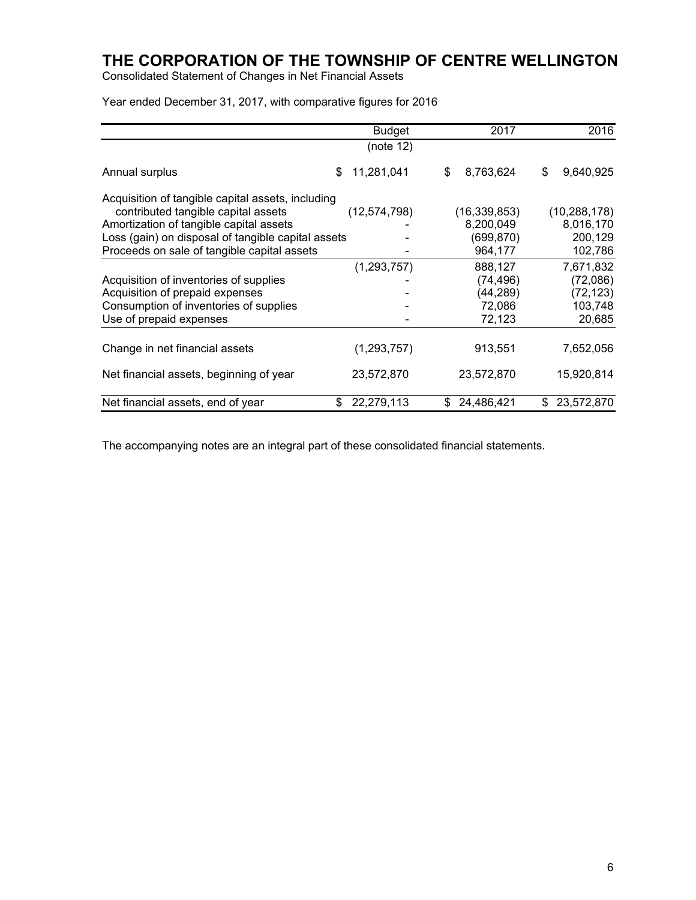Consolidated Statement of Changes in Net Financial Assets

Year ended December 31, 2017, with comparative figures for 2016

|                                                    | <b>Budget</b>  | 2017             | 2016             |
|----------------------------------------------------|----------------|------------------|------------------|
|                                                    | (note 12)      |                  |                  |
| \$<br>Annual surplus                               | 11,281,041     | \$<br>8,763,624  | \$<br>9,640,925  |
| Acquisition of tangible capital assets, including  |                |                  |                  |
| contributed tangible capital assets                | (12, 574, 798) | (16, 339, 853)   | (10, 288, 178)   |
| Amortization of tangible capital assets            |                | 8,200,049        | 8,016,170        |
| Loss (gain) on disposal of tangible capital assets |                | (699,870)        | 200,129          |
| Proceeds on sale of tangible capital assets        |                | 964,177          | 102,786          |
|                                                    | (1, 293, 757)  | 888,127          | 7,671,832        |
| Acquisition of inventories of supplies             |                | (74, 496)        | (72,086)         |
| Acquisition of prepaid expenses                    |                | (44, 289)        | (72, 123)        |
| Consumption of inventories of supplies             |                | 72,086           | 103,748          |
| Use of prepaid expenses                            |                | 72,123           | 20,685           |
|                                                    |                |                  |                  |
| Change in net financial assets                     | (1,293,757)    | 913,551          | 7,652,056        |
| Net financial assets, beginning of year            | 23,572,870     | 23,572,870       | 15,920,814       |
| Net financial assets, end of year<br>\$            | 22,279,113     | 24,486,421<br>\$ | 23,572,870<br>\$ |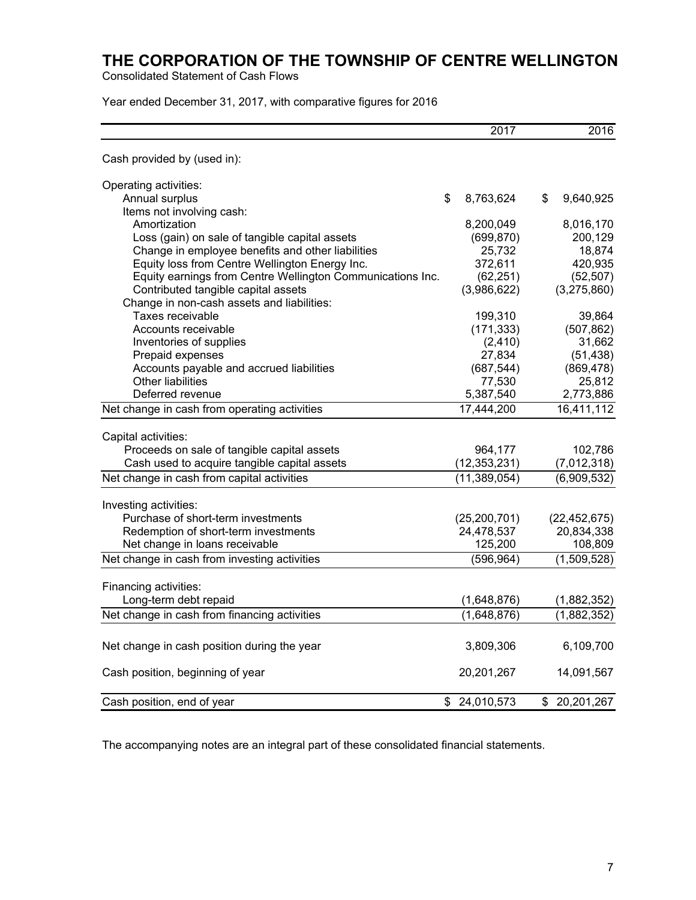Consolidated Statement of Cash Flows

Year ended December 31, 2017, with comparative figures for 2016

|                                                            | 2017             | 2016             |
|------------------------------------------------------------|------------------|------------------|
| Cash provided by (used in):                                |                  |                  |
| Operating activities:                                      |                  |                  |
| Annual surplus                                             | \$<br>8,763,624  | \$<br>9,640,925  |
| Items not involving cash:                                  |                  |                  |
| Amortization                                               | 8,200,049        | 8,016,170        |
| Loss (gain) on sale of tangible capital assets             | (699, 870)       | 200,129          |
| Change in employee benefits and other liabilities          | 25,732           | 18,874           |
| Equity loss from Centre Wellington Energy Inc.             | 372,611          | 420,935          |
| Equity earnings from Centre Wellington Communications Inc. | (62, 251)        | (52, 507)        |
| Contributed tangible capital assets                        | (3,986,622)      | (3,275,860)      |
| Change in non-cash assets and liabilities:                 |                  |                  |
| Taxes receivable                                           | 199,310          | 39,864           |
| Accounts receivable                                        | (171, 333)       | (507, 862)       |
| Inventories of supplies                                    | (2, 410)         | 31,662           |
| Prepaid expenses                                           | 27,834           | (51, 438)        |
| Accounts payable and accrued liabilities                   | (687, 544)       | (869, 478)       |
| <b>Other liabilities</b>                                   | 77,530           | 25,812           |
| Deferred revenue                                           | 5,387,540        | 2,773,886        |
| Net change in cash from operating activities               | 17,444,200       | 16,411,112       |
| Capital activities:                                        |                  |                  |
| Proceeds on sale of tangible capital assets                | 964,177          | 102,786          |
| Cash used to acquire tangible capital assets               | (12, 353, 231)   | (7,012,318)      |
| Net change in cash from capital activities                 | (11, 389, 054)   | (6,909,532)      |
|                                                            |                  |                  |
| Investing activities:                                      |                  |                  |
| Purchase of short-term investments                         | (25, 200, 701)   | (22, 452, 675)   |
| Redemption of short-term investments                       | 24,478,537       | 20,834,338       |
| Net change in loans receivable                             | 125,200          | 108,809          |
| Net change in cash from investing activities               | (596, 964)       | (1,509,528)      |
|                                                            |                  |                  |
| Financing activities:                                      |                  |                  |
| Long-term debt repaid                                      | (1,648,876)      | (1,882,352)      |
| Net change in cash from financing activities               | (1,648,876)      | (1,882,352)      |
| Net change in cash position during the year                | 3,809,306        | 6,109,700        |
| Cash position, beginning of year                           | 20,201,267       | 14,091,567       |
| Cash position, end of year                                 | 24,010,573<br>\$ | 20,201,267<br>\$ |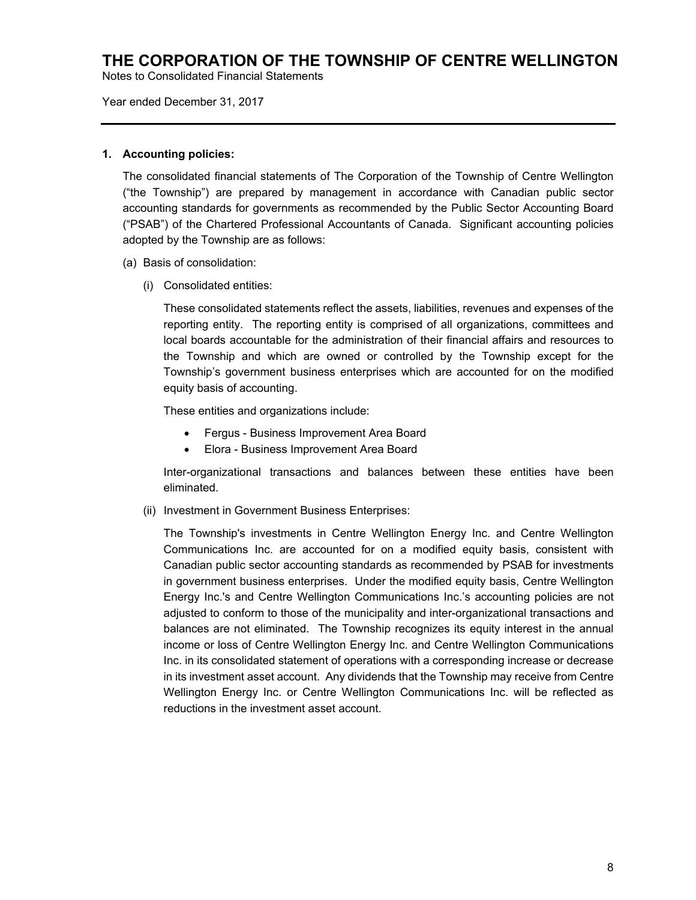Notes to Consolidated Financial Statements

Year ended December 31, 2017

#### **1. Accounting policies:**

The consolidated financial statements of The Corporation of the Township of Centre Wellington ("the Township") are prepared by management in accordance with Canadian public sector accounting standards for governments as recommended by the Public Sector Accounting Board ("PSAB") of the Chartered Professional Accountants of Canada. Significant accounting policies adopted by the Township are as follows:

- (a) Basis of consolidation:
	- (i) Consolidated entities:

These consolidated statements reflect the assets, liabilities, revenues and expenses of the reporting entity. The reporting entity is comprised of all organizations, committees and local boards accountable for the administration of their financial affairs and resources to the Township and which are owned or controlled by the Township except for the Township's government business enterprises which are accounted for on the modified equity basis of accounting.

These entities and organizations include:

- Fergus Business Improvement Area Board
- Elora Business Improvement Area Board

Inter-organizational transactions and balances between these entities have been eliminated.

(ii) Investment in Government Business Enterprises:

The Township's investments in Centre Wellington Energy Inc. and Centre Wellington Communications Inc. are accounted for on a modified equity basis, consistent with Canadian public sector accounting standards as recommended by PSAB for investments in government business enterprises. Under the modified equity basis, Centre Wellington Energy Inc.'s and Centre Wellington Communications Inc.'s accounting policies are not adjusted to conform to those of the municipality and inter-organizational transactions and balances are not eliminated. The Township recognizes its equity interest in the annual income or loss of Centre Wellington Energy Inc. and Centre Wellington Communications Inc. in its consolidated statement of operations with a corresponding increase or decrease in its investment asset account. Any dividends that the Township may receive from Centre Wellington Energy Inc. or Centre Wellington Communications Inc. will be reflected as reductions in the investment asset account.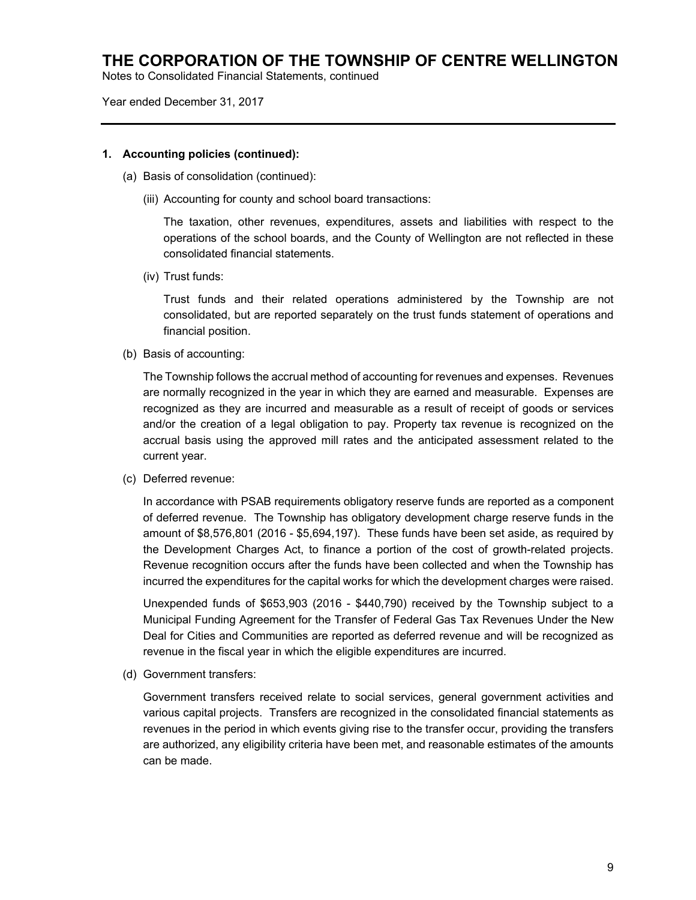Notes to Consolidated Financial Statements, continued

Year ended December 31, 2017

### **1. Accounting policies (continued):**

- (a) Basis of consolidation (continued):
	- (iii) Accounting for county and school board transactions:

The taxation, other revenues, expenditures, assets and liabilities with respect to the operations of the school boards, and the County of Wellington are not reflected in these consolidated financial statements.

(iv) Trust funds:

Trust funds and their related operations administered by the Township are not consolidated, but are reported separately on the trust funds statement of operations and financial position.

(b) Basis of accounting:

The Township follows the accrual method of accounting for revenues and expenses. Revenues are normally recognized in the year in which they are earned and measurable. Expenses are recognized as they are incurred and measurable as a result of receipt of goods or services and/or the creation of a legal obligation to pay. Property tax revenue is recognized on the accrual basis using the approved mill rates and the anticipated assessment related to the current year.

(c) Deferred revenue:

In accordance with PSAB requirements obligatory reserve funds are reported as a component of deferred revenue. The Township has obligatory development charge reserve funds in the amount of \$8,576,801 (2016 - \$5,694,197). These funds have been set aside, as required by the Development Charges Act, to finance a portion of the cost of growth-related projects. Revenue recognition occurs after the funds have been collected and when the Township has incurred the expenditures for the capital works for which the development charges were raised.

Unexpended funds of \$653,903 (2016 - \$440,790) received by the Township subject to a Municipal Funding Agreement for the Transfer of Federal Gas Tax Revenues Under the New Deal for Cities and Communities are reported as deferred revenue and will be recognized as revenue in the fiscal year in which the eligible expenditures are incurred.

(d) Government transfers:

Government transfers received relate to social services, general government activities and various capital projects. Transfers are recognized in the consolidated financial statements as revenues in the period in which events giving rise to the transfer occur, providing the transfers are authorized, any eligibility criteria have been met, and reasonable estimates of the amounts can be made.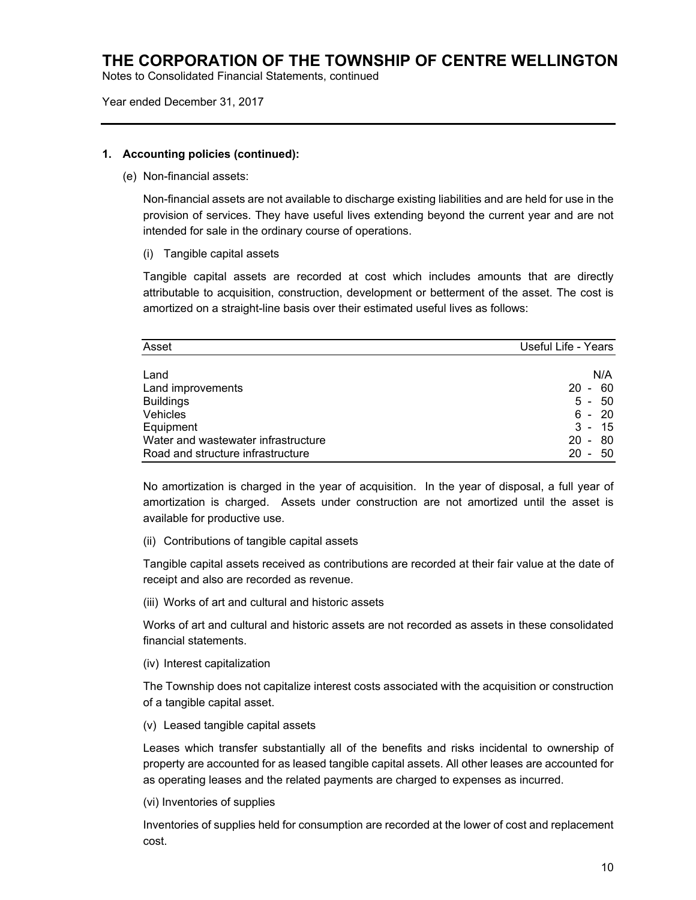Notes to Consolidated Financial Statements, continued

Year ended December 31, 2017

### **1. Accounting policies (continued):**

(e) Non-financial assets:

Non-financial assets are not available to discharge existing liabilities and are held for use in the provision of services. They have useful lives extending beyond the current year and are not intended for sale in the ordinary course of operations.

(i) Tangible capital assets

Tangible capital assets are recorded at cost which includes amounts that are directly attributable to acquisition, construction, development or betterment of the asset. The cost is amortized on a straight-line basis over their estimated useful lives as follows:

| Asset                               | Useful Life - Years        |
|-------------------------------------|----------------------------|
|                                     |                            |
| Land                                | N/A                        |
| Land improvements                   | - 60<br>$20 -$             |
| <b>Buildings</b>                    | $5 - 50$                   |
| Vehicles                            | - 20<br>6 -                |
| Equipment                           | $3 -$<br>15                |
| Water and wastewater infrastructure | 80<br>$20 -$               |
| Road and structure infrastructure   | 20<br>50<br>$\blacksquare$ |

No amortization is charged in the year of acquisition. In the year of disposal, a full year of amortization is charged. Assets under construction are not amortized until the asset is available for productive use.

(ii) Contributions of tangible capital assets

Tangible capital assets received as contributions are recorded at their fair value at the date of receipt and also are recorded as revenue.

(iii) Works of art and cultural and historic assets

Works of art and cultural and historic assets are not recorded as assets in these consolidated financial statements.

(iv) Interest capitalization

The Township does not capitalize interest costs associated with the acquisition or construction of a tangible capital asset.

(v) Leased tangible capital assets

Leases which transfer substantially all of the benefits and risks incidental to ownership of property are accounted for as leased tangible capital assets. All other leases are accounted for as operating leases and the related payments are charged to expenses as incurred.

(vi) Inventories of supplies

Inventories of supplies held for consumption are recorded at the lower of cost and replacement cost.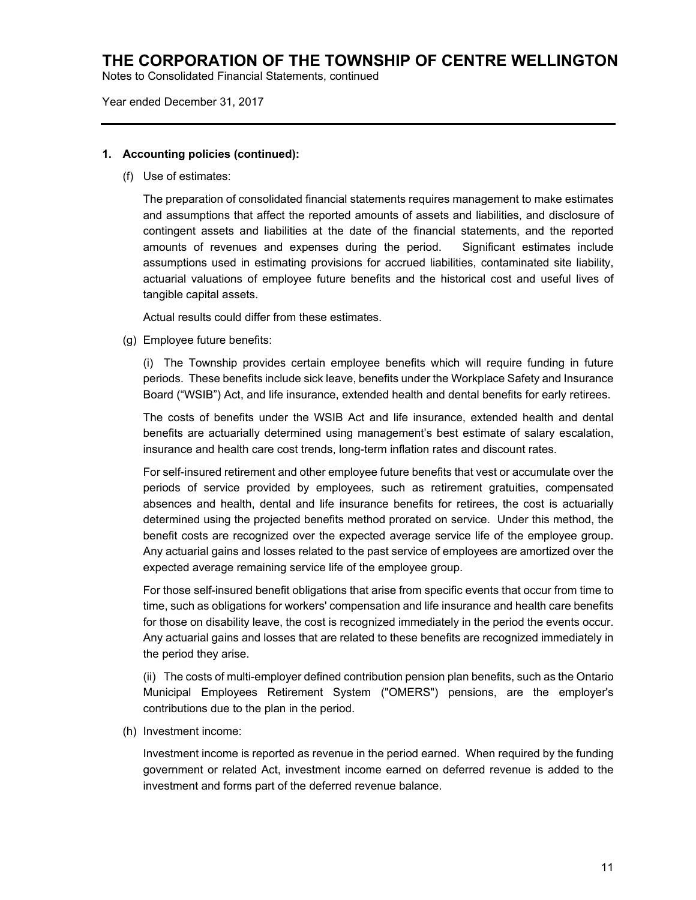Notes to Consolidated Financial Statements, continued

Year ended December 31, 2017

### **1. Accounting policies (continued):**

(f) Use of estimates:

The preparation of consolidated financial statements requires management to make estimates and assumptions that affect the reported amounts of assets and liabilities, and disclosure of contingent assets and liabilities at the date of the financial statements, and the reported amounts of revenues and expenses during the period. Significant estimates include assumptions used in estimating provisions for accrued liabilities, contaminated site liability, actuarial valuations of employee future benefits and the historical cost and useful lives of tangible capital assets.

Actual results could differ from these estimates.

(g) Employee future benefits:

(i) The Township provides certain employee benefits which will require funding in future periods. These benefits include sick leave, benefits under the Workplace Safety and Insurance Board ("WSIB") Act, and life insurance, extended health and dental benefits for early retirees.

The costs of benefits under the WSIB Act and life insurance, extended health and dental benefits are actuarially determined using management's best estimate of salary escalation, insurance and health care cost trends, long-term inflation rates and discount rates.

For self-insured retirement and other employee future benefits that vest or accumulate over the periods of service provided by employees, such as retirement gratuities, compensated absences and health, dental and life insurance benefits for retirees, the cost is actuarially determined using the projected benefits method prorated on service. Under this method, the benefit costs are recognized over the expected average service life of the employee group. Any actuarial gains and losses related to the past service of employees are amortized over the expected average remaining service life of the employee group.

For those self-insured benefit obligations that arise from specific events that occur from time to time, such as obligations for workers' compensation and life insurance and health care benefits for those on disability leave, the cost is recognized immediately in the period the events occur. Any actuarial gains and losses that are related to these benefits are recognized immediately in the period they arise.

(ii) The costs of multi-employer defined contribution pension plan benefits, such as the Ontario Municipal Employees Retirement System ("OMERS") pensions, are the employer's contributions due to the plan in the period.

(h) Investment income:

Investment income is reported as revenue in the period earned. When required by the funding government or related Act, investment income earned on deferred revenue is added to the investment and forms part of the deferred revenue balance.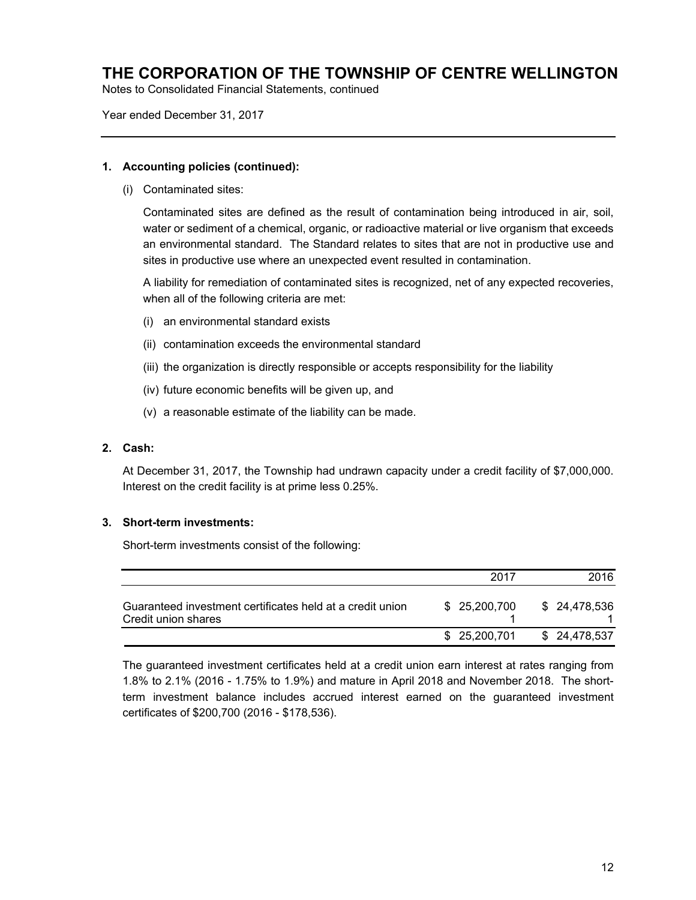Notes to Consolidated Financial Statements, continued

Year ended December 31, 2017

#### **1. Accounting policies (continued):**

(i) Contaminated sites:

Contaminated sites are defined as the result of contamination being introduced in air, soil, water or sediment of a chemical, organic, or radioactive material or live organism that exceeds an environmental standard. The Standard relates to sites that are not in productive use and sites in productive use where an unexpected event resulted in contamination.

A liability for remediation of contaminated sites is recognized, net of any expected recoveries, when all of the following criteria are met:

- (i) an environmental standard exists
- (ii) contamination exceeds the environmental standard
- (iii) the organization is directly responsible or accepts responsibility for the liability
- (iv) future economic benefits will be given up, and
- (v) a reasonable estimate of the liability can be made.

### **2. Cash:**

At December 31, 2017, the Township had undrawn capacity under a credit facility of \$7,000,000. Interest on the credit facility is at prime less 0.25%.

#### **3. Short-term investments:**

Short-term investments consist of the following:

|                                                                                  | 2017          | 2016          |
|----------------------------------------------------------------------------------|---------------|---------------|
| Guaranteed investment certificates held at a credit union<br>Credit union shares | \$ 25,200,700 | \$ 24,478,536 |
|                                                                                  | \$ 25,200,701 | \$ 24,478,537 |

The guaranteed investment certificates held at a credit union earn interest at rates ranging from 1.8% to 2.1% (2016 - 1.75% to 1.9%) and mature in April 2018 and November 2018. The shortterm investment balance includes accrued interest earned on the guaranteed investment certificates of \$200,700 (2016 - \$178,536).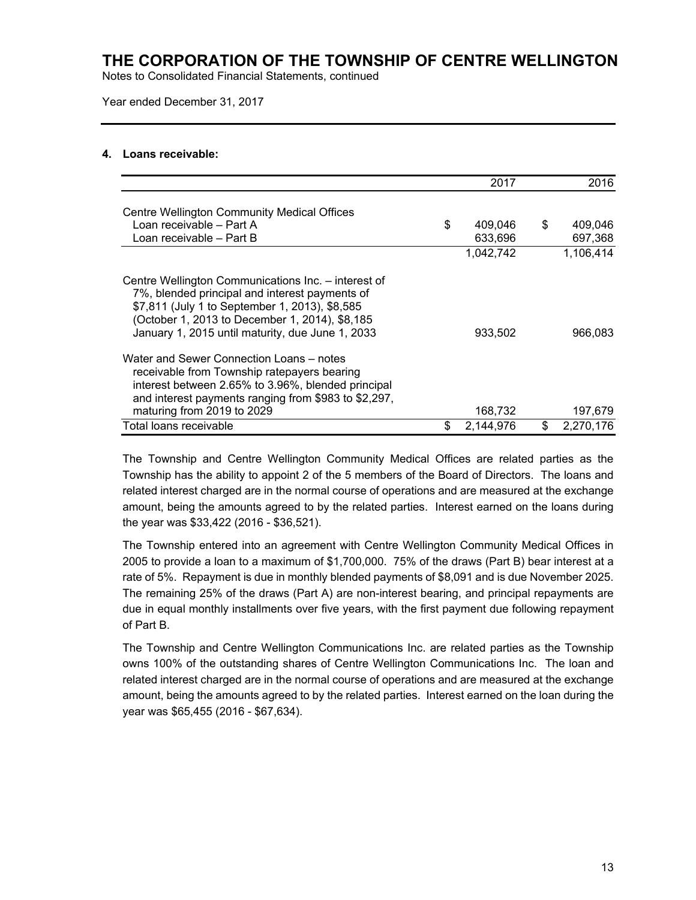Notes to Consolidated Financial Statements, continued

Year ended December 31, 2017

### **4. Loans receivable:**

|                                                                                                                                                                                                                                                               | 2017            | 2016            |
|---------------------------------------------------------------------------------------------------------------------------------------------------------------------------------------------------------------------------------------------------------------|-----------------|-----------------|
| <b>Centre Wellington Community Medical Offices</b>                                                                                                                                                                                                            |                 |                 |
| Loan receivable - Part A                                                                                                                                                                                                                                      | \$<br>409,046   | \$<br>409,046   |
| Loan receivable - Part B                                                                                                                                                                                                                                      | 633,696         | 697,368         |
|                                                                                                                                                                                                                                                               | 1.042.742       | 1,106,414       |
| Centre Wellington Communications Inc. - interest of<br>7%, blended principal and interest payments of<br>\$7,811 (July 1 to September 1, 2013), \$8,585<br>(October 1, 2013 to December 1, 2014), \$8,185<br>January 1, 2015 until maturity, due June 1, 2033 | 933,502         | 966,083         |
| Water and Sewer Connection Loans – notes<br>receivable from Township ratepayers bearing<br>interest between 2.65% to 3.96%, blended principal<br>and interest payments ranging from \$983 to \$2,297,                                                         |                 |                 |
| maturing from 2019 to 2029                                                                                                                                                                                                                                    | 168,732         | 197,679         |
| Total loans receivable                                                                                                                                                                                                                                        | \$<br>2,144,976 | \$<br>2,270,176 |

The Township and Centre Wellington Community Medical Offices are related parties as the Township has the ability to appoint 2 of the 5 members of the Board of Directors. The loans and related interest charged are in the normal course of operations and are measured at the exchange amount, being the amounts agreed to by the related parties. Interest earned on the loans during the year was \$33,422 (2016 - \$36,521).

The Township entered into an agreement with Centre Wellington Community Medical Offices in 2005 to provide a loan to a maximum of \$1,700,000. 75% of the draws (Part B) bear interest at a rate of 5%. Repayment is due in monthly blended payments of \$8,091 and is due November 2025. The remaining 25% of the draws (Part A) are non-interest bearing, and principal repayments are due in equal monthly installments over five years, with the first payment due following repayment of Part B.

The Township and Centre Wellington Communications Inc. are related parties as the Township owns 100% of the outstanding shares of Centre Wellington Communications Inc. The loan and related interest charged are in the normal course of operations and are measured at the exchange amount, being the amounts agreed to by the related parties. Interest earned on the loan during the year was \$65,455 (2016 - \$67,634).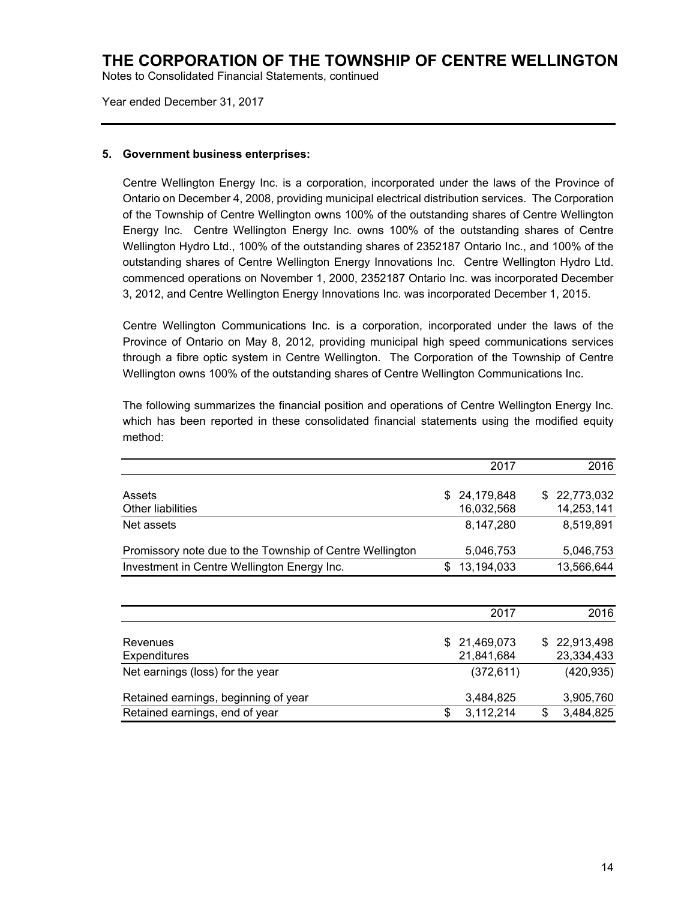Notes to Consolidated Financial Statements, continued

Year ended December 31, 2017

### **5. Government business enterprises:**

Centre Wellington Energy Inc. is a corporation, incorporated under the laws of the Province of Ontario on December 4, 2008, providing municipal electrical distribution services. The Corporation of the Township of Centre Wellington owns 100% of the outstanding shares of Centre Wellington Energy Inc. Centre Wellington Energy Inc. owns 100% of the outstanding shares of Centre Wellington Hydro Ltd., 100% of the outstanding shares of 2352187 Ontario Inc., and 100% of the outstanding shares of Centre Wellington Energy Innovations Inc. Centre Wellington Hydro Ltd. commenced operations on November 1, 2000, 2352187 Ontario Inc. was incorporated December 3, 2012, and Centre Wellington Energy Innovations Inc. was incorporated December 1, 2015.

Centre Wellington Communications Inc. is a corporation, incorporated under the laws of the Province of Ontario on May 8, 2012, providing municipal high speed communications services through a fibre optic system in Centre Wellington. The Corporation of the Township of Centre Wellington owns 100% of the outstanding shares of Centre Wellington Communications Inc.

The following summarizes the financial position and operations of Centre Wellington Energy Inc. which has been reported in these consolidated financial statements using the modified equity method:

|                                                          | 2017         | 2016         |
|----------------------------------------------------------|--------------|--------------|
| Assets                                                   | \$24,179,848 | \$22,773,032 |
| <b>Other liabilities</b>                                 | 16,032,568   | 14,253,141   |
| Net assets                                               | 8,147,280    | 8,519,891    |
| Promissory note due to the Township of Centre Wellington | 5,046,753    | 5,046,753    |
| Investment in Centre Wellington Energy Inc.              | 13,194,033   | 13,566,644   |
|                                                          |              |              |

|                                      | 2017         |   | 2016         |
|--------------------------------------|--------------|---|--------------|
| Revenues                             | \$21,469,073 |   | \$22,913,498 |
| <b>Expenditures</b>                  | 21,841,684   |   | 23,334,433   |
| Net earnings (loss) for the year     | (372, 611)   |   | (420, 935)   |
| Retained earnings, beginning of year | 3,484,825    |   | 3,905,760    |
| Retained earnings, end of year       | 3,112,214    | S | 3,484,825    |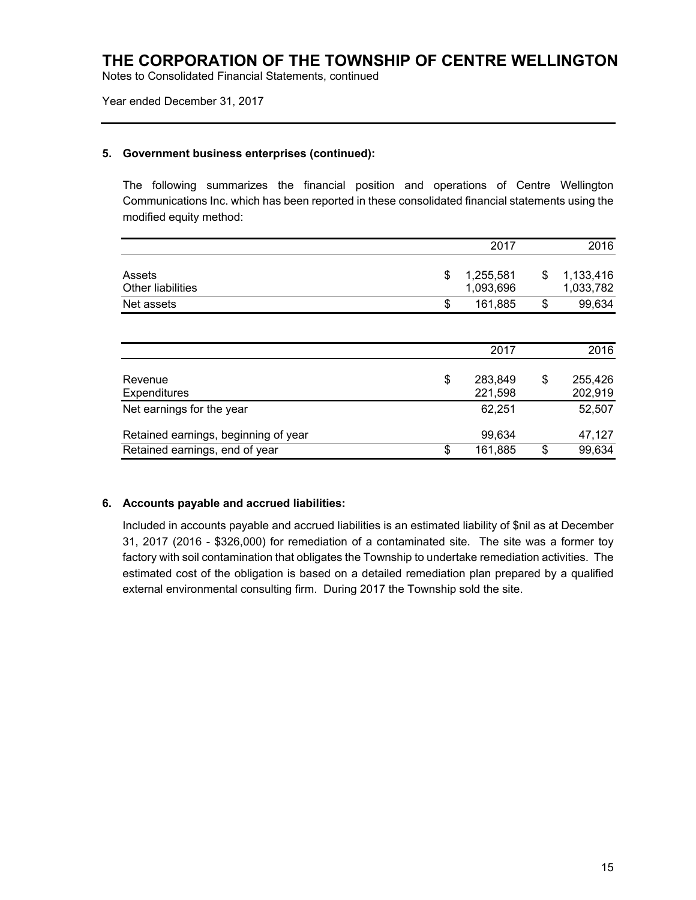Notes to Consolidated Financial Statements, continued

Year ended December 31, 2017

### **5. Government business enterprises (continued):**

The following summarizes the financial position and operations of Centre Wellington Communications Inc. which has been reported in these consolidated financial statements using the modified equity method:

|                                      | 2017                         | 2016                         |
|--------------------------------------|------------------------------|------------------------------|
| Assets<br>Other liabilities          | \$<br>1,255,581<br>1,093,696 | \$<br>1,133,416<br>1,033,782 |
| Net assets                           | \$<br>161,885                | \$<br>99,634                 |
|                                      |                              |                              |
|                                      | 2017                         | 2016                         |
| Revenue<br><b>Expenditures</b>       | \$<br>283,849<br>221,598     | \$<br>255,426<br>202,919     |
| Net earnings for the year            | 62,251                       | 52,507                       |
| Retained earnings, beginning of year | 99,634                       | 47,127                       |
| Retained earnings, end of year       | \$<br>161,885                | \$<br>99,634                 |

## **6. Accounts payable and accrued liabilities:**

Included in accounts payable and accrued liabilities is an estimated liability of \$nil as at December 31, 2017 (2016 - \$326,000) for remediation of a contaminated site. The site was a former toy factory with soil contamination that obligates the Township to undertake remediation activities. The estimated cost of the obligation is based on a detailed remediation plan prepared by a qualified external environmental consulting firm. During 2017 the Township sold the site.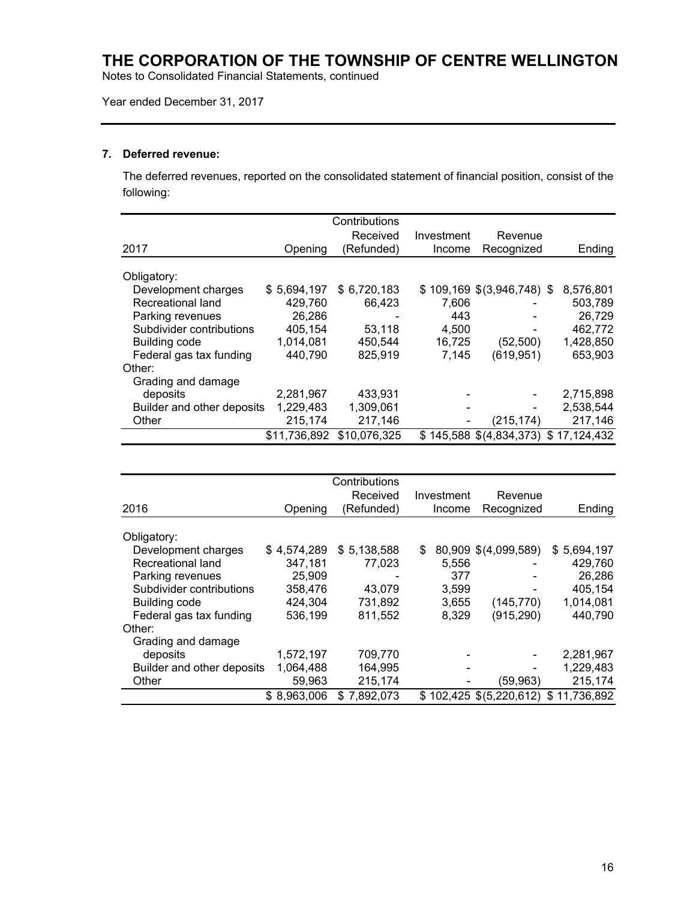Notes to Consolidated Financial Statements, continued

## Year ended December 31, 2017

### **7. Deferred revenue:**

The deferred revenues, reported on the consolidated statement of financial position, consist of the following:

|                            |              | Contributions |            |                              |                                         |
|----------------------------|--------------|---------------|------------|------------------------------|-----------------------------------------|
|                            |              | Received      | Investment | Revenue                      |                                         |
| 2017                       | Opening      | (Refunded)    | Income     | Recognized                   | Ending                                  |
| Obligatory:                |              |               |            |                              |                                         |
| Development charges        | \$5,694,197  | \$6,720,183   |            | $$109,169$ $$(3,946,748)$ \$ | 8,576,801                               |
| Recreational land          | 429,760      | 66,423        | 7,606      |                              | 503,789                                 |
| Parking revenues           | 26,286       |               | 443        |                              | 26,729                                  |
| Subdivider contributions   | 405,154      | 53.118        | 4,500      |                              | 462,772                                 |
| <b>Building code</b>       | 1,014,081    | 450,544       | 16,725     | (52, 500)                    | 1,428,850                               |
| Federal gas tax funding    | 440,790      | 825,919       | 7,145      | (619, 951)                   | 653,903                                 |
| Other:                     |              |               |            |                              |                                         |
| Grading and damage         |              |               |            |                              |                                         |
| deposits                   | 2,281,967    | 433,931       |            |                              | 2,715,898                               |
| Builder and other deposits | 1,229,483    | 1,309,061     | -          |                              | 2,538,544                               |
| Other                      | 215,174      | 217,146       |            | (215,174)                    | 217,146                                 |
|                            | \$11,736,892 | \$10,076,325  |            |                              | $$145,588$ $$(4,834,373)$ $$17,124,432$ |

|                            |             | Contributions |            |                                         |             |
|----------------------------|-------------|---------------|------------|-----------------------------------------|-------------|
|                            |             | Received      | Investment | Revenue                                 |             |
| 2016                       | Opening     | (Refunded)    | Income     | Recognized                              | Ending      |
|                            |             |               |            |                                         |             |
| Obligatory:                |             |               |            |                                         |             |
| Development charges        | \$4,574,289 | \$5,138,588   | \$         | 80,909 \$(4,099,589)                    | \$5,694,197 |
| Recreational land          | 347,181     | 77.023        | 5,556      |                                         | 429,760     |
| Parking revenues           | 25,909      |               | 377        |                                         | 26,286      |
| Subdivider contributions   | 358,476     | 43,079        | 3,599      |                                         | 405,154     |
| Building code              | 424,304     | 731,892       | 3,655      | (145, 770)                              | 1,014,081   |
| Federal gas tax funding    | 536,199     | 811,552       | 8,329      | (915, 290)                              | 440,790     |
| Other:                     |             |               |            |                                         |             |
| Grading and damage         |             |               |            |                                         |             |
| deposits                   | 1,572,197   | 709,770       |            |                                         | 2,281,967   |
| Builder and other deposits | 1,064,488   | 164,995       |            |                                         | 1,229,483   |
| Other                      | 59,963      | 215,174       |            | (59,963)                                | 215,174     |
|                            | \$8,963,006 | \$7,892,073   |            | $$102,425$ $$(5,220,612)$ $$11,736,892$ |             |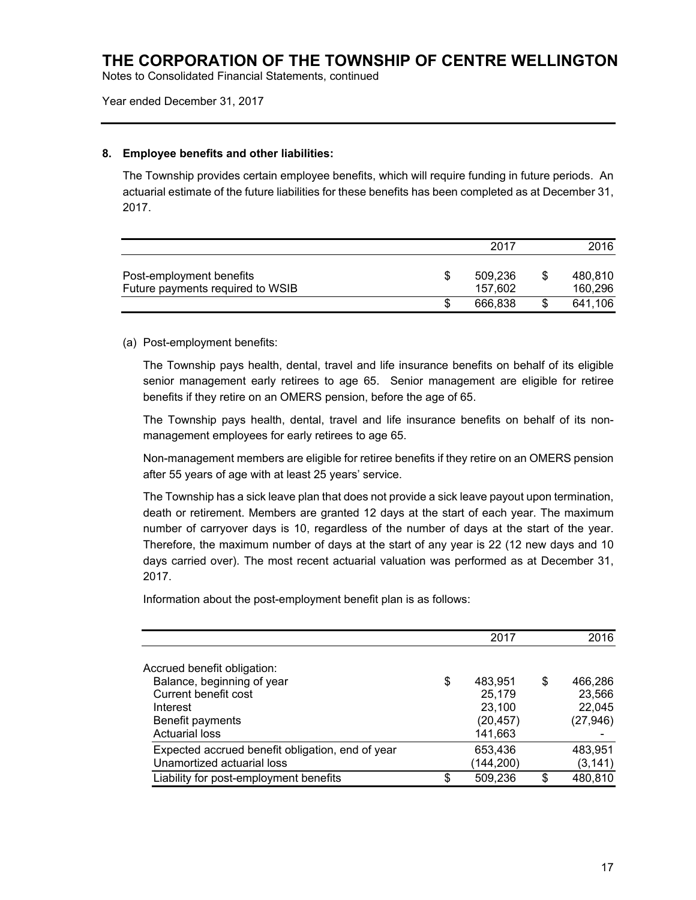Notes to Consolidated Financial Statements, continued

Year ended December 31, 2017

### **8. Employee benefits and other liabilities:**

The Township provides certain employee benefits, which will require funding in future periods. An actuarial estimate of the future liabilities for these benefits has been completed as at December 31, 2017.

|                                                              | 2017               |   | 2016               |
|--------------------------------------------------------------|--------------------|---|--------------------|
| Post-employment benefits<br>Future payments required to WSIB | 509.236<br>157.602 | S | 480.810<br>160,296 |
|                                                              | 666.838            |   | 641,106            |

### (a) Post-employment benefits:

The Township pays health, dental, travel and life insurance benefits on behalf of its eligible senior management early retirees to age 65. Senior management are eligible for retiree benefits if they retire on an OMERS pension, before the age of 65.

The Township pays health, dental, travel and life insurance benefits on behalf of its nonmanagement employees for early retirees to age 65.

Non-management members are eligible for retiree benefits if they retire on an OMERS pension after 55 years of age with at least 25 years' service.

The Township has a sick leave plan that does not provide a sick leave payout upon termination, death or retirement. Members are granted 12 days at the start of each year. The maximum number of carryover days is 10, regardless of the number of days at the start of the year. Therefore, the maximum number of days at the start of any year is 22 (12 new days and 10 days carried over). The most recent actuarial valuation was performed as at December 31, 2017.

Information about the post-employment benefit plan is as follows:

|                                                  | 2017          | 2016          |
|--------------------------------------------------|---------------|---------------|
|                                                  |               |               |
| Accrued benefit obligation:                      |               |               |
| Balance, beginning of year                       | \$<br>483,951 | \$<br>466,286 |
| Current benefit cost                             | 25,179        | 23,566        |
| Interest                                         | 23,100        | 22,045        |
| Benefit payments                                 | (20, 457)     | (27, 946)     |
| <b>Actuarial loss</b>                            | 141,663       |               |
| Expected accrued benefit obligation, end of year | 653,436       | 483,951       |
| Unamortized actuarial loss                       | (144,200)     | (3, 141)      |
| Liability for post-employment benefits           | \$<br>509,236 | \$<br>480,810 |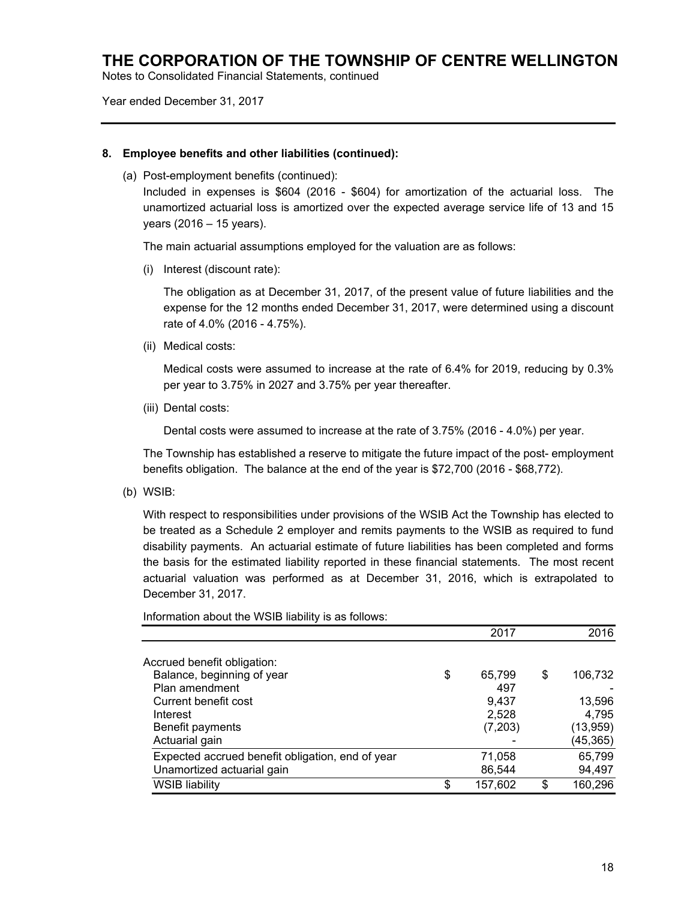Notes to Consolidated Financial Statements, continued

Year ended December 31, 2017

### **8. Employee benefits and other liabilities (continued):**

(a) Post-employment benefits (continued):

Included in expenses is \$604 (2016 - \$604) for amortization of the actuarial loss. The unamortized actuarial loss is amortized over the expected average service life of 13 and 15 years (2016 – 15 years).

The main actuarial assumptions employed for the valuation are as follows:

(i) Interest (discount rate):

The obligation as at December 31, 2017, of the present value of future liabilities and the expense for the 12 months ended December 31, 2017, were determined using a discount rate of 4.0% (2016 - 4.75%).

(ii) Medical costs:

Medical costs were assumed to increase at the rate of 6.4% for 2019, reducing by 0.3% per year to 3.75% in 2027 and 3.75% per year thereafter.

(iii) Dental costs:

Dental costs were assumed to increase at the rate of 3.75% (2016 - 4.0%) per year.

The Township has established a reserve to mitigate the future impact of the post- employment benefits obligation. The balance at the end of the year is \$72,700 (2016 - \$68,772).

(b) WSIB:

With respect to responsibilities under provisions of the WSIB Act the Township has elected to be treated as a Schedule 2 employer and remits payments to the WSIB as required to fund disability payments. An actuarial estimate of future liabilities has been completed and forms the basis for the estimated liability reported in these financial statements. The most recent actuarial valuation was performed as at December 31, 2016, which is extrapolated to December 31, 2017.

Information about the WSIB liability is as follows:

|                                                  | 2017          |     | 2016      |
|--------------------------------------------------|---------------|-----|-----------|
| Accrued benefit obligation:                      |               |     |           |
| Balance, beginning of year                       | \$<br>65,799  | \$  | 106,732   |
| Plan amendment                                   | 497           |     |           |
| Current benefit cost                             | 9,437         |     | 13,596    |
| Interest                                         | 2,528         |     | 4,795     |
| Benefit payments                                 | (7,203)       |     | (13, 959) |
| Actuarial gain                                   |               |     | (45, 365) |
| Expected accrued benefit obligation, end of year | 71,058        |     | 65,799    |
| Unamortized actuarial gain                       | 86,544        |     | 94,497    |
| <b>WSIB liability</b>                            | \$<br>157,602 | \$. | 160,296   |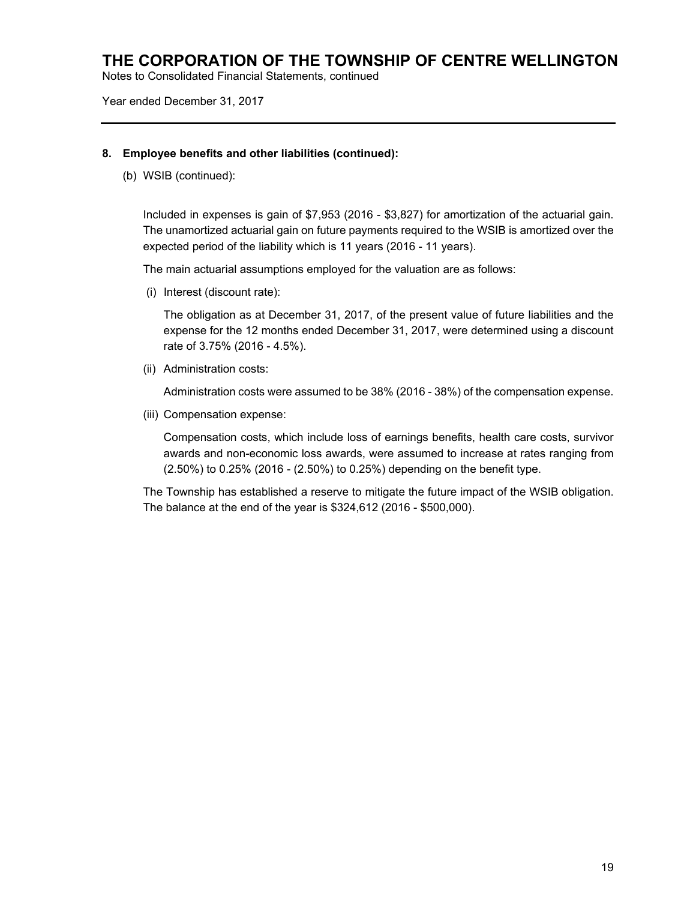Notes to Consolidated Financial Statements, continued

Year ended December 31, 2017

### **8. Employee benefits and other liabilities (continued):**

(b) WSIB (continued):

Included in expenses is gain of \$7,953 (2016 - \$3,827) for amortization of the actuarial gain. The unamortized actuarial gain on future payments required to the WSIB is amortized over the expected period of the liability which is 11 years (2016 - 11 years).

The main actuarial assumptions employed for the valuation are as follows:

(i) Interest (discount rate):

The obligation as at December 31, 2017, of the present value of future liabilities and the expense for the 12 months ended December 31, 2017, were determined using a discount rate of 3.75% (2016 - 4.5%).

(ii) Administration costs:

Administration costs were assumed to be 38% (2016 - 38%) of the compensation expense.

(iii) Compensation expense:

Compensation costs, which include loss of earnings benefits, health care costs, survivor awards and non-economic loss awards, were assumed to increase at rates ranging from (2.50%) to 0.25% (2016 - (2.50%) to 0.25%) depending on the benefit type.

The Township has established a reserve to mitigate the future impact of the WSIB obligation. The balance at the end of the year is \$324,612 (2016 - \$500,000).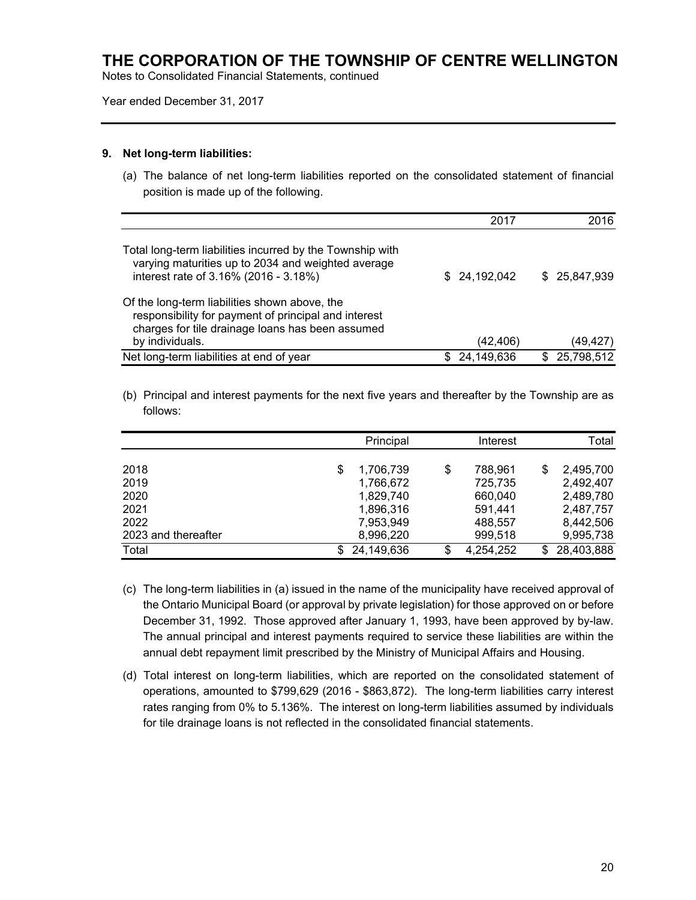Notes to Consolidated Financial Statements, continued

#### Year ended December 31, 2017

#### **9. Net long-term liabilities:**

(a) The balance of net long-term liabilities reported on the consolidated statement of financial position is made up of the following.

|                                                                                                                                                                              | 2017          | 2016          |
|------------------------------------------------------------------------------------------------------------------------------------------------------------------------------|---------------|---------------|
| Total long-term liabilities incurred by the Township with<br>varying maturities up to 2034 and weighted average<br>interest rate of 3.16% (2016 - 3.18%)                     | \$ 24,192,042 | \$ 25,847,939 |
| Of the long-term liabilities shown above, the<br>responsibility for payment of principal and interest<br>charges for tile drainage loans has been assumed<br>by individuals. | (42, 406)     | (49, 427)     |
| Net long-term liabilities at end of year                                                                                                                                     | 24,149,636    | \$25,798,512  |

(b) Principal and interest payments for the next five years and thereafter by the Township are as follows:

|                     | Principal       |    | Interest  |     | Total      |
|---------------------|-----------------|----|-----------|-----|------------|
|                     |                 |    |           |     |            |
| 2018                | \$<br>1,706,739 | \$ | 788.961   | \$  | 2,495,700  |
| 2019                | 1,766,672       |    | 725,735   |     | 2,492,407  |
| 2020                | 1,829,740       |    | 660,040   |     | 2,489,780  |
| 2021                | 1,896,316       |    | 591,441   |     | 2,487,757  |
| 2022                | 7,953,949       |    | 488,557   |     | 8,442,506  |
| 2023 and thereafter | 8,996,220       |    | 999,518   |     | 9,995,738  |
| Total               | 24,149,636      | ß. | 4,254,252 | \$. | 28,403,888 |

- (c) The long-term liabilities in (a) issued in the name of the municipality have received approval of the Ontario Municipal Board (or approval by private legislation) for those approved on or before December 31, 1992. Those approved after January 1, 1993, have been approved by by-law. The annual principal and interest payments required to service these liabilities are within the annual debt repayment limit prescribed by the Ministry of Municipal Affairs and Housing.
- (d) Total interest on long-term liabilities, which are reported on the consolidated statement of operations, amounted to \$799,629 (2016 - \$863,872). The long-term liabilities carry interest rates ranging from 0% to 5.136%. The interest on long-term liabilities assumed by individuals for tile drainage loans is not reflected in the consolidated financial statements.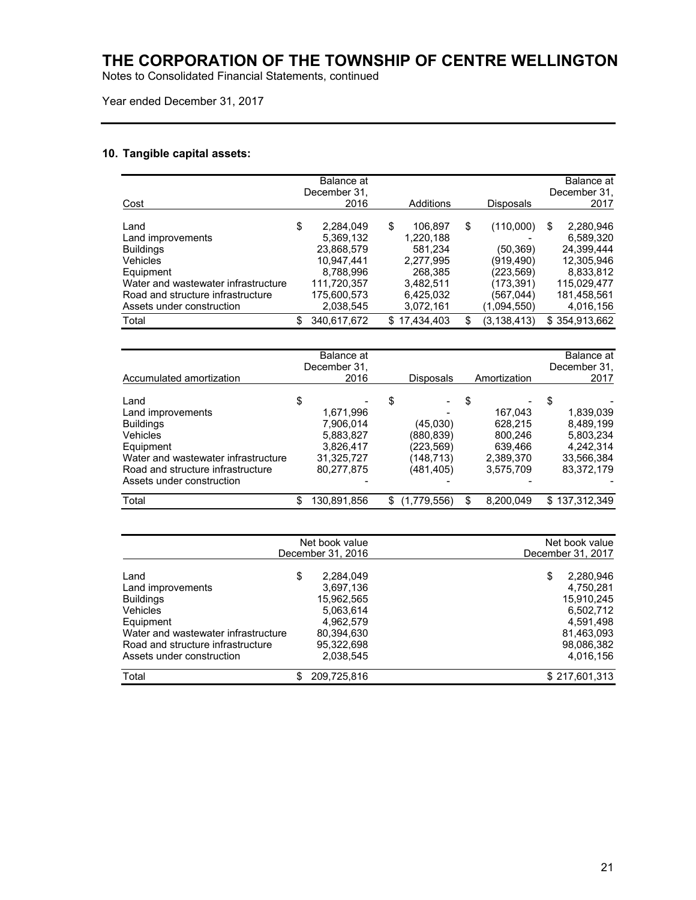Notes to Consolidated Financial Statements, continued

Year ended December 31, 2017

### **10. Tangible capital assets:**

Road and structure infrastructure

|                                     | Balance at<br>December 31. |                  |                     | Balance at<br>December 31, |
|-------------------------------------|----------------------------|------------------|---------------------|----------------------------|
| Cost                                | 2016                       | Additions        | <b>Disposals</b>    | 2017                       |
|                                     |                            |                  |                     |                            |
| Land                                | \$<br>2,284,049            | \$<br>106,897    | \$<br>(110,000)     | \$<br>2,280,946            |
| Land improvements                   | 5,369,132                  | 1,220,188        |                     | 6,589,320                  |
| <b>Buildings</b>                    | 23,868,579                 | 581,234          | (50, 369)           | 24,399,444                 |
| Vehicles                            | 10,947,441                 | 2,277,995        | (919,490)           | 12,305,946                 |
| Equipment                           | 8,788,996                  | 268,385          | (223,569)           | 8,833,812                  |
| Water and wastewater infrastructure | 111,720,357                | 3,482,511        | (173,391)           | 115,029,477                |
| Road and structure infrastructure   | 175,600,573                | 6,425,032        | (567,044)           | 181,458,561                |
| Assets under construction           | 2,038,545                  | 3,072,161        | (1,094,550)         | 4,016,156                  |
| Total                               | \$<br>340,617,672          | \$<br>17,434,403 | \$<br>(3, 138, 413) | \$354,913,662              |
|                                     |                            |                  |                     |                            |
|                                     | Balance at                 |                  |                     | Balance at                 |
|                                     | December 31,               |                  |                     | December 31.               |
| <b>Accumulated amortization</b>     | 2016                       | <b>Disposals</b> | Amortization        | 2017                       |
| Land                                | \$                         | \$               | \$                  | \$                         |
| Land improvements                   | 1,671,996                  |                  | 167,043             | 1,839,039                  |
| <b>Buildings</b>                    | 7,906,014                  | (45,030)         | 628,215             | 8,489,199                  |
| Vehicles                            | 5,883,827                  | (880,839)        | 800,246             | 5,803,234                  |
| Equipment                           | 3,826,417                  | (223,569)        | 639,466             | 4,242,314                  |
|                                     |                            |                  |                     |                            |

| Total                               | \$<br>130,891,856 | \$<br>(1,779,556) | \$<br>8,200,049 | \$137,312,349     |
|-------------------------------------|-------------------|-------------------|-----------------|-------------------|
|                                     |                   |                   |                 |                   |
|                                     | Net book value    |                   |                 | Net book value    |
|                                     | December 31, 2016 |                   |                 | December 31, 2017 |
| Land                                | \$<br>2.284.049   |                   |                 | \$<br>2.280.946   |
| Land improvements                   | 3,697,136         |                   |                 | 4,750,281         |
| <b>Buildings</b>                    | 15.962.565        |                   |                 | 15,910,245        |
| Vehicles                            | 5.063.614         |                   |                 | 6,502,712         |
| Equipment                           | 4.962.579         |                   |                 | 4,591,498         |
| Water and wastewater infrastructure | 80,394,630        |                   |                 | 81,463,093        |
| Road and structure infrastructure   | 95,322,698        |                   |                 | 98,086,382        |
| Assets under construction           | 2,038,545         |                   |                 | 4,016,156         |
| Total                               | 209,725,816       |                   |                 | \$217,601,313     |

Water and wastewater infrastructure  $\begin{array}{cccc} 31,325,727 & 148,713 & 2,389,370 & 33,566,384 \\ \text{ Road and structure infrastructure} & 80,277,875 & (481,405) & 3,575,709 & 83,372,179 \end{array}$ 

Assets under construction and the set of the set of the set of the set of the set of the set of the set of the set of the set of the set of the set of the set of the set of the set of the set of the set of the set of the s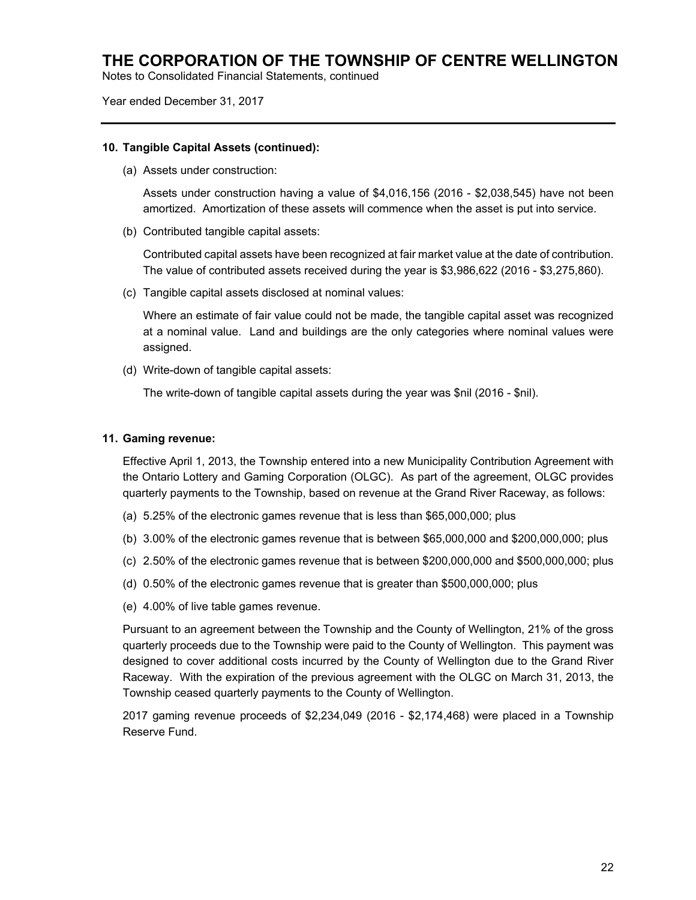Notes to Consolidated Financial Statements, continued

Year ended December 31, 2017

### **10. Tangible Capital Assets (continued):**

(a) Assets under construction:

Assets under construction having a value of \$4,016,156 (2016 - \$2,038,545) have not been amortized. Amortization of these assets will commence when the asset is put into service.

(b) Contributed tangible capital assets:

Contributed capital assets have been recognized at fair market value at the date of contribution. The value of contributed assets received during the year is \$3,986,622 (2016 - \$3,275,860).

(c) Tangible capital assets disclosed at nominal values:

Where an estimate of fair value could not be made, the tangible capital asset was recognized at a nominal value. Land and buildings are the only categories where nominal values were assigned.

(d) Write-down of tangible capital assets:

The write-down of tangible capital assets during the year was \$nil (2016 - \$nil).

### **11. Gaming revenue:**

Effective April 1, 2013, the Township entered into a new Municipality Contribution Agreement with the Ontario Lottery and Gaming Corporation (OLGC). As part of the agreement, OLGC provides quarterly payments to the Township, based on revenue at the Grand River Raceway, as follows:

- (a) 5.25% of the electronic games revenue that is less than \$65,000,000; plus
- (b) 3.00% of the electronic games revenue that is between \$65,000,000 and \$200,000,000; plus
- (c) 2.50% of the electronic games revenue that is between \$200,000,000 and \$500,000,000; plus
- (d) 0.50% of the electronic games revenue that is greater than \$500,000,000; plus
- (e) 4.00% of live table games revenue.

Pursuant to an agreement between the Township and the County of Wellington, 21% of the gross quarterly proceeds due to the Township were paid to the County of Wellington. This payment was designed to cover additional costs incurred by the County of Wellington due to the Grand River Raceway. With the expiration of the previous agreement with the OLGC on March 31, 2013, the Township ceased quarterly payments to the County of Wellington.

2017 gaming revenue proceeds of \$2,234,049 (2016 - \$2,174,468) were placed in a Township Reserve Fund.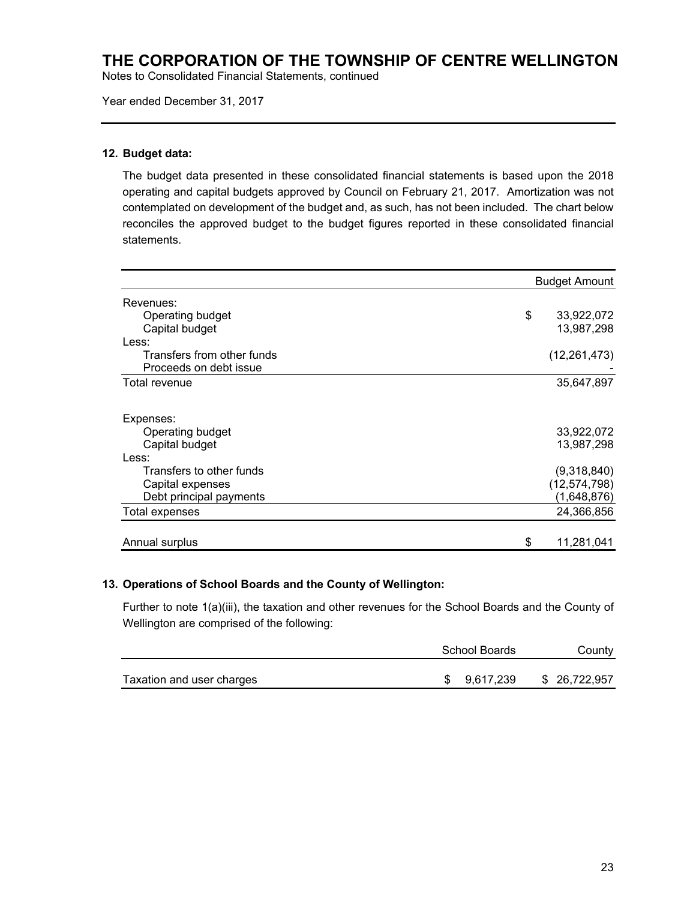Notes to Consolidated Financial Statements, continued

Year ended December 31, 2017

### **12. Budget data:**

The budget data presented in these consolidated financial statements is based upon the 2018 operating and capital budgets approved by Council on February 21, 2017. Amortization was not contemplated on development of the budget and, as such, has not been included. The chart below reconciles the approved budget to the budget figures reported in these consolidated financial statements.

|                            | <b>Budget Amount</b> |
|----------------------------|----------------------|
| Revenues:                  |                      |
| Operating budget           | \$<br>33,922,072     |
| Capital budget             | 13,987,298           |
| Less:                      |                      |
| Transfers from other funds | (12, 261, 473)       |
| Proceeds on debt issue     |                      |
| Total revenue              | 35,647,897           |
| Expenses:                  |                      |
| Operating budget           | 33,922,072           |
| Capital budget             | 13,987,298           |
| Less:                      |                      |
| Transfers to other funds   | (9,318,840)          |
| Capital expenses           | (12, 574, 798)       |
| Debt principal payments    | (1,648,876)          |
| Total expenses             | 24,366,856           |
| Annual surplus             | \$<br>11,281,041     |

#### **13. Operations of School Boards and the County of Wellington:**

Further to note 1(a)(iii), the taxation and other revenues for the School Boards and the County of Wellington are comprised of the following:

|                           | School Boards | County        |
|---------------------------|---------------|---------------|
| Taxation and user charges | \$ 9,617,239  | \$ 26,722,957 |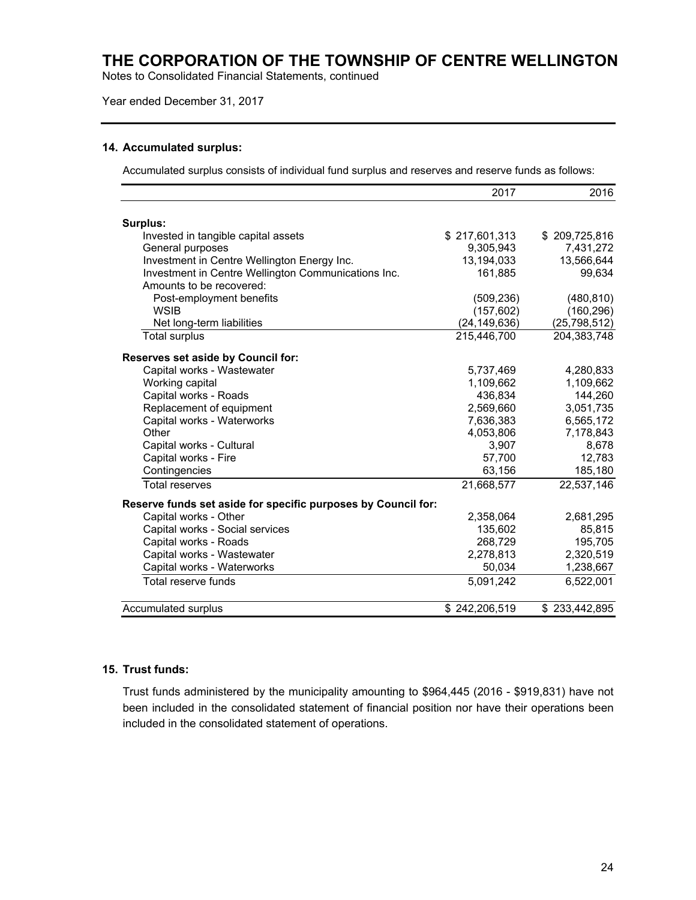Notes to Consolidated Financial Statements, continued

### Year ended December 31, 2017

#### **14. Accumulated surplus:**

Accumulated surplus consists of individual fund surplus and reserves and reserve funds as follows:

|                                                               | 2017           | 2016           |
|---------------------------------------------------------------|----------------|----------------|
|                                                               |                |                |
| Surplus:                                                      |                |                |
| Invested in tangible capital assets                           | \$217,601,313  | \$209,725,816  |
| General purposes                                              | 9,305,943      | 7,431,272      |
| Investment in Centre Wellington Energy Inc.                   | 13,194,033     | 13,566,644     |
| Investment in Centre Wellington Communications Inc.           | 161,885        | 99,634         |
| Amounts to be recovered:                                      |                |                |
| Post-employment benefits                                      | (509, 236)     | (480, 810)     |
| <b>WSIB</b>                                                   | (157, 602)     | (160, 296)     |
| Net long-term liabilities                                     | (24, 149, 636) | (25, 798, 512) |
| <b>Total surplus</b>                                          | 215,446,700    | 204,383,748    |
| Reserves set aside by Council for:                            |                |                |
| Capital works - Wastewater                                    | 5,737,469      | 4,280,833      |
| Working capital                                               | 1,109,662      | 1,109,662      |
| Capital works - Roads                                         | 436,834        | 144,260        |
| Replacement of equipment                                      | 2,569,660      | 3,051,735      |
| Capital works - Waterworks                                    | 7,636,383      | 6,565,172      |
| Other                                                         | 4,053,806      | 7,178,843      |
| Capital works - Cultural                                      | 3,907          | 8,678          |
| Capital works - Fire                                          | 57,700         | 12,783         |
| Contingencies                                                 | 63,156         | 185,180        |
| <b>Total reserves</b>                                         | 21,668,577     | 22,537,146     |
| Reserve funds set aside for specific purposes by Council for: |                |                |
| Capital works - Other                                         | 2,358,064      | 2,681,295      |
| Capital works - Social services                               | 135,602        | 85,815         |
| Capital works - Roads                                         | 268,729        | 195,705        |
| Capital works - Wastewater                                    | 2,278,813      | 2,320,519      |
| Capital works - Waterworks                                    | 50,034         | 1,238,667      |
| Total reserve funds                                           | 5,091,242      | 6,522,001      |
| Accumulated surplus                                           | \$242,206,519  | \$233,442,895  |
|                                                               |                |                |

### **15. Trust funds:**

Trust funds administered by the municipality amounting to \$964,445 (2016 - \$919,831) have not been included in the consolidated statement of financial position nor have their operations been included in the consolidated statement of operations.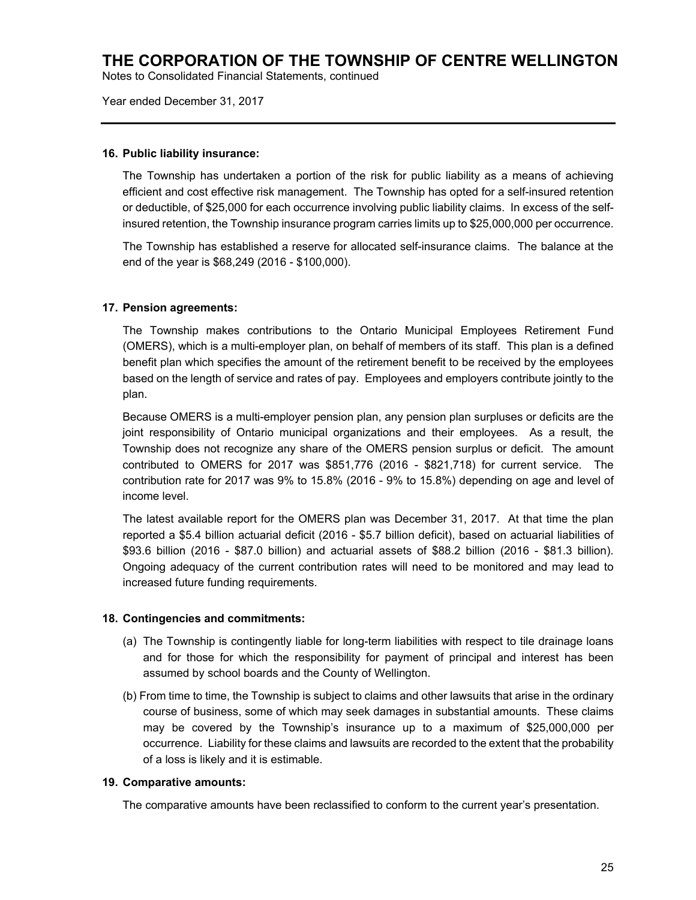Notes to Consolidated Financial Statements, continued

Year ended December 31, 2017

### **16. Public liability insurance:**

The Township has undertaken a portion of the risk for public liability as a means of achieving efficient and cost effective risk management. The Township has opted for a self-insured retention or deductible, of \$25,000 for each occurrence involving public liability claims. In excess of the selfinsured retention, the Township insurance program carries limits up to \$25,000,000 per occurrence.

The Township has established a reserve for allocated self-insurance claims. The balance at the end of the year is \$68,249 (2016 - \$100,000).

### **17. Pension agreements:**

The Township makes contributions to the Ontario Municipal Employees Retirement Fund (OMERS), which is a multi-employer plan, on behalf of members of its staff. This plan is a defined benefit plan which specifies the amount of the retirement benefit to be received by the employees based on the length of service and rates of pay. Employees and employers contribute jointly to the plan.

Because OMERS is a multi-employer pension plan, any pension plan surpluses or deficits are the joint responsibility of Ontario municipal organizations and their employees. As a result, the Township does not recognize any share of the OMERS pension surplus or deficit. The amount contributed to OMERS for 2017 was \$851,776 (2016 - \$821,718) for current service. The contribution rate for 2017 was 9% to 15.8% (2016 - 9% to 15.8%) depending on age and level of income level.

The latest available report for the OMERS plan was December 31, 2017. At that time the plan reported a \$5.4 billion actuarial deficit (2016 - \$5.7 billion deficit), based on actuarial liabilities of \$93.6 billion (2016 - \$87.0 billion) and actuarial assets of \$88.2 billion (2016 - \$81.3 billion). Ongoing adequacy of the current contribution rates will need to be monitored and may lead to increased future funding requirements.

#### **18. Contingencies and commitments:**

- (a) The Township is contingently liable for long-term liabilities with respect to tile drainage loans and for those for which the responsibility for payment of principal and interest has been assumed by school boards and the County of Wellington.
- (b) From time to time, the Township is subject to claims and other lawsuits that arise in the ordinary course of business, some of which may seek damages in substantial amounts. These claims may be covered by the Township's insurance up to a maximum of \$25,000,000 per occurrence. Liability for these claims and lawsuits are recorded to the extent that the probability of a loss is likely and it is estimable.

#### **19. Comparative amounts:**

The comparative amounts have been reclassified to conform to the current year's presentation.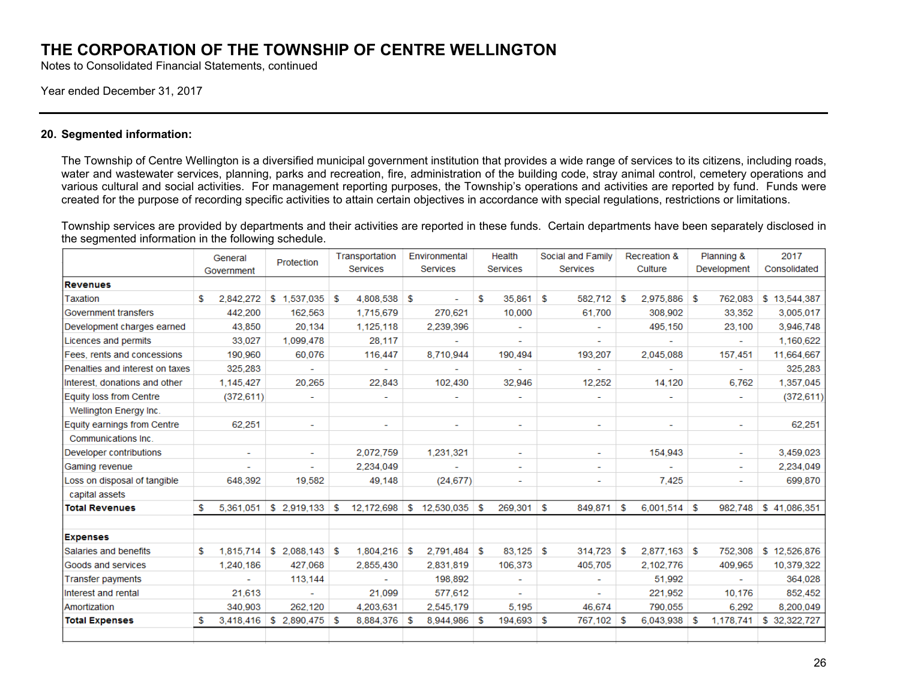Notes to Consolidated Financial Statements, continued

#### Year ended December 31, 2017

#### **20. Segmented information:**

The Township of Centre Wellington is a diversified municipal government institution that provides a wide range of services to its citizens, including roads, water and wastewater services, planning, parks and recreation, fire, administration of the building code, stray animal control, cemetery operations and various cultural and social activities. For management reporting purposes, the Township's operations and activities are reported by fund. Funds were created for the purpose of recording specific activities to attain certain objectives in accordance with special regulations, restrictions or limitations.

Township services are provided by departments and their activities are reported in these funds. Certain departments have been separately disclosed in the segmented information in the following schedule.

|                                 | General                  | Protection               | Transportation   | Environmental     | Health                   | Social and Family        | <b>Recreation &amp;</b>  | Planning &               | 2017          |
|---------------------------------|--------------------------|--------------------------|------------------|-------------------|--------------------------|--------------------------|--------------------------|--------------------------|---------------|
|                                 | Government               |                          | <b>Services</b>  | <b>Services</b>   | <b>Services</b>          | <b>Services</b>          | Culture                  | Development              | Consolidated  |
| <b>Revenues</b>                 |                          |                          |                  |                   |                          |                          |                          |                          |               |
| Taxation                        | 2.842.272<br>\$          | $$1,537,035$ \$          | 4.808.538 \$     |                   | 35.861<br>S              | 582.712<br>s.            | 2.975.886<br>- \$        | 762.083<br>∣\$.          | \$13,544,387  |
| Government transfers            | 442,200                  | 162,563                  | 1,715,679        | 270,621           | 10,000                   | 61,700                   | 308,902                  | 33,352                   | 3,005,017     |
| Development charges earned      | 43,850                   | 20,134                   | 1,125,118        | 2,239,396         |                          |                          | 495,150                  | 23,100                   | 3,946,748     |
| Licences and permits            | 33,027                   | 1,099,478                | 28,117           |                   |                          |                          |                          |                          | 1,160,622     |
| Fees, rents and concessions     | 190,960                  | 60,076                   | 116,447          | 8,710,944         | 190,494                  | 193,207                  | 2,045,088                | 157,451                  | 11,664,667    |
| Penalties and interest on taxes | 325,283                  |                          |                  |                   |                          | $\overline{\phantom{0}}$ |                          | $\overline{\phantom{0}}$ | 325,283       |
| Interest, donations and other   | 1,145,427                | 20,265                   | 22,843           | 102.430           | 32,946                   | 12,252                   | 14,120                   | 6,762                    | 1,357,045     |
| Equity loss from Centre         | (372, 611)               | ۰                        |                  |                   |                          |                          |                          | ٠                        | (372, 611)    |
| Wellington Energy Inc.          |                          |                          |                  |                   |                          |                          |                          |                          |               |
| Equity earnings from Centre     | 62,251                   | ۰                        | ٠                | ٠                 | ٠                        | ۰                        | $\overline{\phantom{a}}$ | $\overline{\phantom{a}}$ | 62,251        |
| Communications Inc.             |                          |                          |                  |                   |                          |                          |                          |                          |               |
| Developer contributions         | $\overline{\phantom{a}}$ | $\overline{\phantom{0}}$ | 2,072,759        | 1.231.321         | $\overline{\phantom{0}}$ | $\overline{\phantom{0}}$ | 154,943                  | $\sim$                   | 3,459,023     |
| Gaming revenue                  |                          |                          | 2.234.049        |                   | ٠                        | ٠                        |                          | $\sim$                   | 2,234,049     |
| Loss on disposal of tangible    | 648,392                  | 19,582                   | 49,148           | (24, 677)         |                          | ٠                        | 7,425                    | ٠                        | 699,870       |
| capital assets                  |                          |                          |                  |                   |                          |                          |                          |                          |               |
| <b>Total Revenues</b>           | S<br>5,361,051           | \$2.919.133              | 12,172,698<br>\$ | 12,530,035<br>\$  | 269,301<br>-S            | \$<br>849,871            | $6,001,514$ \$<br>S      | 982,748                  | \$41,086,351  |
| <b>Expenses</b>                 |                          |                          |                  |                   |                          |                          |                          |                          |               |
| Salaries and benefits           | 1.815.714<br>\$          |                          | 1.804.216 \$     | 2,791,484         | $83.125$ \$<br>-S        | 314.723                  | $2.877.163$ \$<br>- \$   | 752.308                  | \$12,526,876  |
| Goods and services              | 1,240,186                | 427,068                  | 2,855,430        | 2,831,819         | 106,373                  | 405,705                  | 2,102,776                | 409,965                  | 10,379,322    |
| <b>Transfer payments</b>        |                          | 113,144                  |                  | 198,892           |                          | ۰                        | 51,992                   |                          | 364,028       |
| Interest and rental             | 21,613                   |                          | 21,099           | 577,612           |                          |                          | 221,952                  | 10,176                   | 852,452       |
| Amortization                    | 340,903                  | 262,120                  | 4,203,631        | 2,545,179         | 5,195                    | 46,674                   | 790,055                  | 6,292                    | 8,200,049     |
| <b>Total Expenses</b>           | S<br>3,418,416           | $$2,890,475$ \\$         | 8,884,376        | 8,944,986<br>- \$ | 194,693<br>S             | \$<br>767,102 \$         | 6,043,938                | 1,178,741<br>-S          | \$ 32,322,727 |
|                                 |                          |                          |                  |                   |                          |                          |                          |                          |               |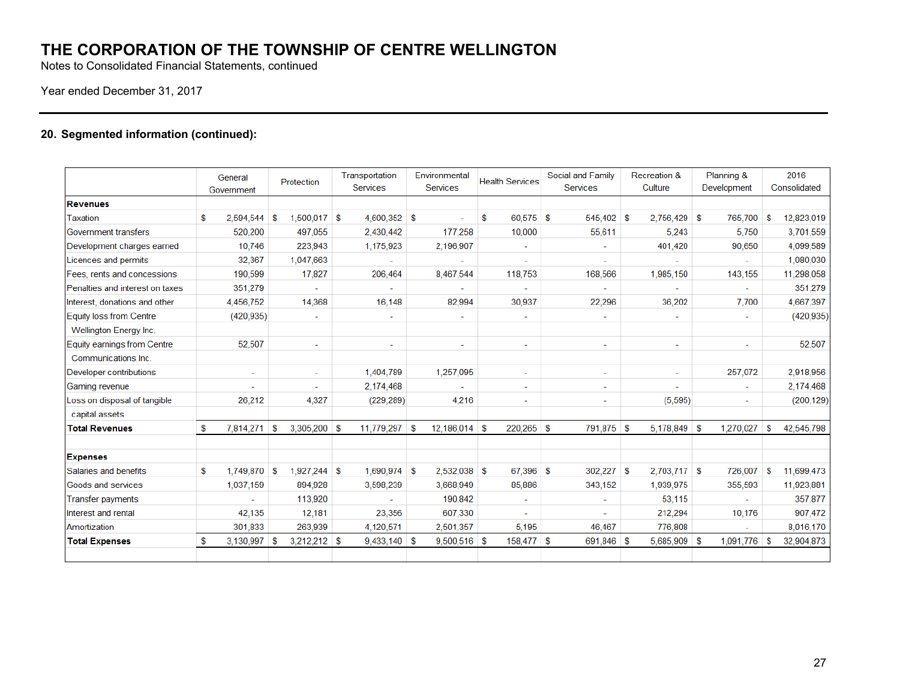Notes to Consolidated Financial Statements, continued

## Year ended December 31, 2017

## **20. Segmented information (continued):**

|                                 |   | General<br>Government |    | Protection     |      | Transportation<br><b>Services</b> |    | Environmental<br>Services |    | <b>Health Services</b>   | Social and Family<br><b>Services</b> |    | Recreation &<br>Culture | Planning &<br>Development |    | 2016<br>Consolidated |
|---------------------------------|---|-----------------------|----|----------------|------|-----------------------------------|----|---------------------------|----|--------------------------|--------------------------------------|----|-------------------------|---------------------------|----|----------------------|
| <b>Revenues</b>                 |   |                       |    |                |      |                                   |    |                           |    |                          |                                      |    |                         |                           |    |                      |
| Taxation                        | s | 2,594,544             | -S | 1,500,017      | - \$ | $4,600,352$ \$                    |    |                           | \$ | 60.575 \$                | 545,402                              | S. | $2.756.429$ \$          | 765,700                   | -S | 12,823,019           |
| Government transfers            |   | 520,200               |    | 497,055        |      | 2,430,442                         |    | 177,258                   |    | 10,000                   | 55,611                               |    | 5.243                   | 5,750                     |    | 3,701,559            |
| Development charges earned      |   | 10,746                |    | 223,943        |      | 1,175,923                         |    | 2,196,907                 |    | $\overline{\phantom{a}}$ |                                      |    | 401,420                 | 90,650                    |    | 4,099,589            |
| Licences and permits            |   | 32,367                |    | 1,047,663      |      |                                   |    |                           |    | $\overline{a}$           |                                      |    |                         |                           |    | 1,080,030            |
| Fees, rents and concessions     |   | 190,599               |    | 17,827         |      | 206,464                           |    | 8,467,544                 |    | 118,753                  | 168,566                              |    | 1,985,150               | 143,155                   |    | 11,298,058           |
| Penalties and interest on taxes |   | 351,279               |    |                |      |                                   |    |                           |    |                          |                                      |    |                         |                           |    | 351,279              |
| Interest, donations and other   |   | 4,456,752             |    | 14,368         |      | 16,148                            |    | 82,994                    |    | 30,937                   | 22,296                               |    | 36,202                  | 7,700                     |    | 4,667,397            |
| Equity loss from Centre         |   | (420, 935)            |    |                |      | $\sim$                            |    |                           |    | $\sim$                   |                                      |    |                         | $\sim$                    |    | (420, 935)           |
| Wellington Energy Inc.          |   |                       |    |                |      |                                   |    |                           |    |                          |                                      |    |                         |                           |    |                      |
| Equity earnings from Centre     |   | 52,507                |    | $\sim$         |      | $\sim$                            |    | ٠                         |    | $\overline{\phantom{a}}$ | ٠                                    |    | ÷                       |                           |    | 52,507               |
| Communications Inc.             |   |                       |    |                |      |                                   |    |                           |    |                          |                                      |    |                         |                           |    |                      |
| Developer contributions         |   | $\sim$                |    | $\sim$         |      | 1,404,789                         |    | 1,257,095                 |    | ٠                        | ۰                                    |    | ٠                       | 257,072                   |    | 2,918,956            |
| Gaming revenue                  |   |                       |    |                |      | 2,174,468                         |    |                           |    | $\overline{\phantom{a}}$ |                                      |    |                         |                           |    | 2,174,468            |
| Loss on disposal of tangible    |   | 26,212                |    | 4,327          |      | (229, 289)                        |    | 4,216                     |    | $\overline{\phantom{a}}$ | ٠                                    |    | (5, 595)                | $\overline{\phantom{a}}$  |    | (200, 129)           |
| capital assets                  |   |                       |    |                |      |                                   |    |                           |    |                          |                                      |    |                         |                           |    |                      |
| <b>Total Revenues</b>           | S | 7,814,271             | -S | $3,305,200$ \$ |      | 11,779,297                        | -S | 12,186,014                | S  | 220,265 \$               | 791,875 \$                           |    | $5,178,849$ \$          | 1,270,027                 | S  | 42,545,798           |
| <b>Expenses</b>                 |   |                       |    |                |      |                                   |    |                           |    |                          |                                      |    |                         |                           |    |                      |
| Salaries and benefits           | S | 1,749,870 \$          |    | $1,927,244$ \$ |      | $1.690.974$ \$                    |    | 2,532,038                 | -S | 67.396 \$                | 302,227                              | s  | $2.703.717$ \$          | 726,007                   | S  | 11.699.473           |
| Goods and services              |   | 1,037,159             |    | 894,928        |      | 3,598,239                         |    | 3,668,949                 |    | 85,886                   | 343,152                              |    | 1,939,975               | 355,593                   |    | 11,923,881           |
| Transfer payments               |   |                       |    | 113,920        |      |                                   |    | 190,842                   |    | ۰                        |                                      |    | 53,115                  |                           |    | 357,877              |
| Interest and rental             |   | 42,135                |    | 12,181         |      | 23,356                            |    | 607,330                   |    | ÷                        |                                      |    | 212,294                 | 10,176                    |    | 907,472              |
| Amortization                    |   | 301,833               |    | 263,939        |      | 4,120,571                         |    | 2,501,357                 |    | 5.195                    | 46,467                               |    | 776,808                 |                           |    | 8,016,170            |
| <b>Total Expenses</b>           | s | 3,130,997             | -S | $3,212,212$ \$ |      | $9,433,140$ \$                    |    | 9,500,516                 | -S | 158,477 \$               | 691,846 \$                           |    | 5,685,909 \$            | 1,091,776                 | -S | 32,904,873           |
|                                 |   |                       |    |                |      |                                   |    |                           |    |                          |                                      |    |                         |                           |    |                      |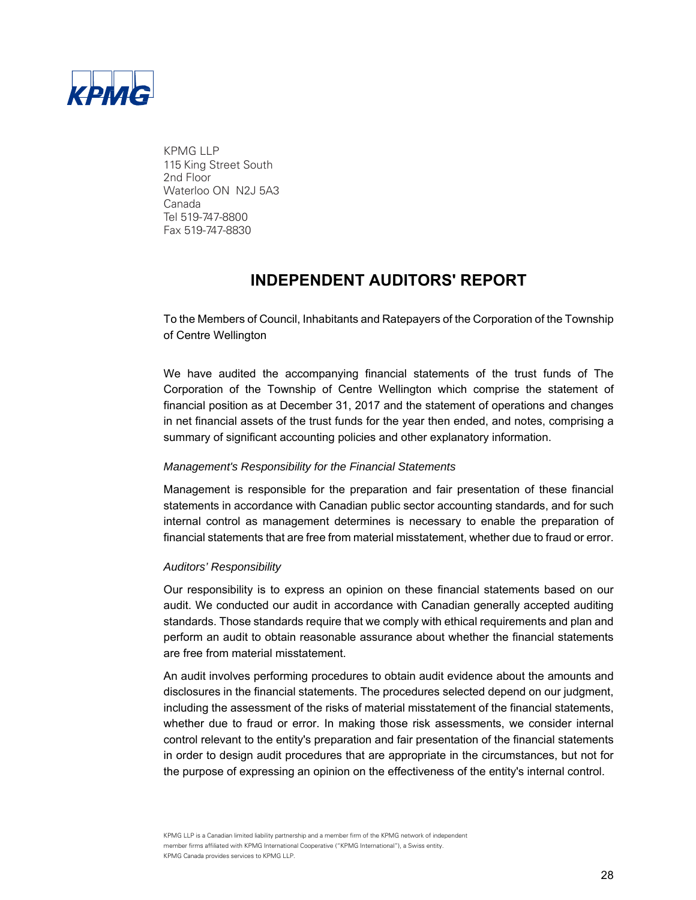

KPMG LLP 115 King Street South 2nd Floor Waterloo ON N2J 5A3 Canada Tel 519-747-8800 Fax 519-747-8830

## **INDEPENDENT AUDITORS' REPORT**

To the Members of Council, Inhabitants and Ratepayers of the Corporation of the Township of Centre Wellington

We have audited the accompanying financial statements of the trust funds of The Corporation of the Township of Centre Wellington which comprise the statement of financial position as at December 31, 2017 and the statement of operations and changes in net financial assets of the trust funds for the year then ended, and notes, comprising a summary of significant accounting policies and other explanatory information.

## *Management's Responsibility for the Financial Statements*

Management is responsible for the preparation and fair presentation of these financial statements in accordance with Canadian public sector accounting standards, and for such internal control as management determines is necessary to enable the preparation of financial statements that are free from material misstatement, whether due to fraud or error.

## *Auditors' Responsibility*

Our responsibility is to express an opinion on these financial statements based on our audit. We conducted our audit in accordance with Canadian generally accepted auditing standards. Those standards require that we comply with ethical requirements and plan and perform an audit to obtain reasonable assurance about whether the financial statements are free from material misstatement.

An audit involves performing procedures to obtain audit evidence about the amounts and disclosures in the financial statements. The procedures selected depend on our judgment, including the assessment of the risks of material misstatement of the financial statements, whether due to fraud or error. In making those risk assessments, we consider internal control relevant to the entity's preparation and fair presentation of the financial statements in order to design audit procedures that are appropriate in the circumstances, but not for the purpose of expressing an opinion on the effectiveness of the entity's internal control.

KPMG LLP is a Canadian limited liability partnership and a member firm of the KPMG network of independent member firms affiliated with KPMG International Cooperative ("KPMG International"), a Swiss entity. KPMG Canada provides services to KPMG LLP.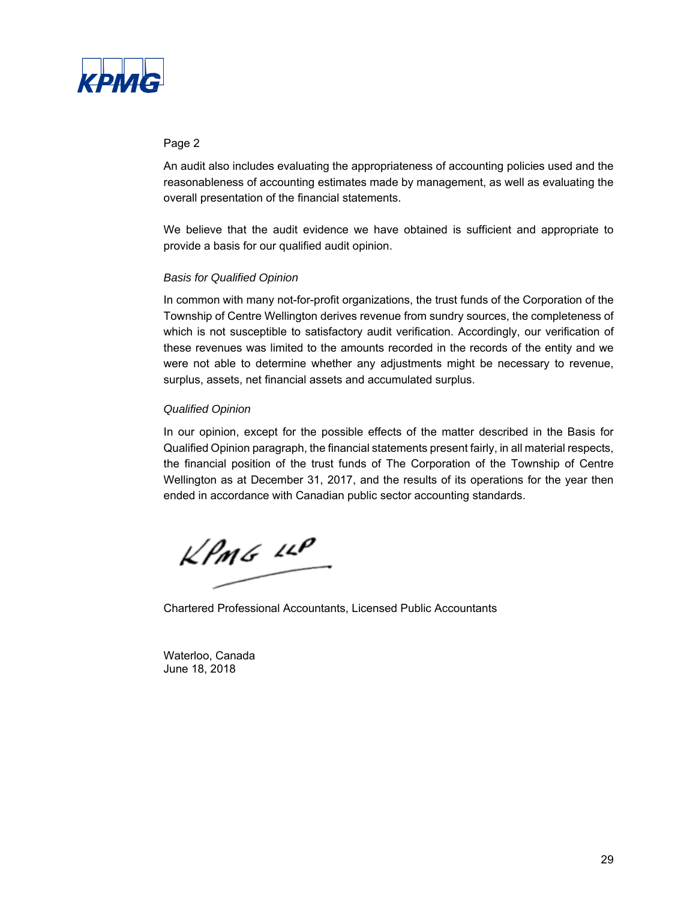

### Page 2

An audit also includes evaluating the appropriateness of accounting policies used and the reasonableness of accounting estimates made by management, as well as evaluating the overall presentation of the financial statements.

We believe that the audit evidence we have obtained is sufficient and appropriate to provide a basis for our qualified audit opinion.

## *Basis for Qualified Opinion*

In common with many not-for-profit organizations, the trust funds of the Corporation of the Township of Centre Wellington derives revenue from sundry sources, the completeness of which is not susceptible to satisfactory audit verification. Accordingly, our verification of these revenues was limited to the amounts recorded in the records of the entity and we were not able to determine whether any adjustments might be necessary to revenue, surplus, assets, net financial assets and accumulated surplus.

## *Qualified Opinion*

In our opinion, except for the possible effects of the matter described in the Basis for Qualified Opinion paragraph, the financial statements present fairly, in all material respects, the financial position of the trust funds of The Corporation of the Township of Centre Wellington as at December 31, 2017, and the results of its operations for the year then ended in accordance with Canadian public sector accounting standards.

 $k$ *PmG*  $11$ 

Chartered Professional Accountants, Licensed Public Accountants

Waterloo, Canada June 18, 2018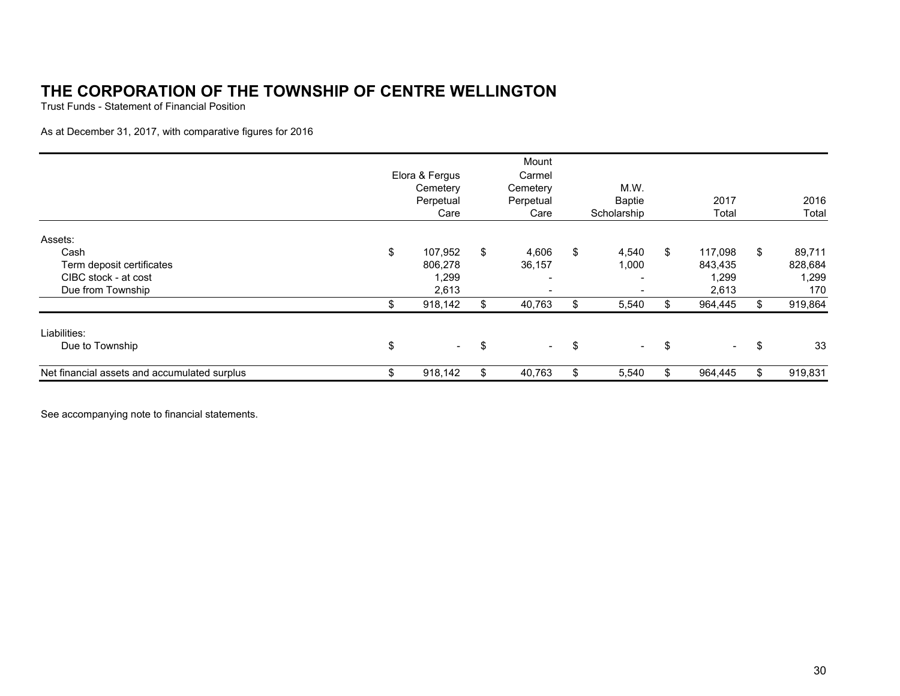Trust Funds - Statement of Financial Position

As at December 31, 2017, with comparative figures for 2016

|                                              | Elora & Fergus<br>Cemetery<br>Perpetual<br>Care |     | Mount<br>Carmel<br>Cemetery<br>Perpetual<br>Care | M.W.<br><b>Baptie</b><br>Scholarship | 2017<br>Total          |     | 2016<br>Total |
|----------------------------------------------|-------------------------------------------------|-----|--------------------------------------------------|--------------------------------------|------------------------|-----|---------------|
| Assets:<br>Cash                              | \$<br>107.952                                   | \$  | 4,606                                            | \$<br>4,540                          | \$<br>117.098          | \$  | 89,711        |
| Term deposit certificates                    | 806,278                                         |     | 36,157                                           | 1,000                                | 843,435                |     | 828,684       |
| CIBC stock - at cost                         | 1,299                                           |     | $\overline{\phantom{0}}$                         |                                      | 1,299                  |     | 1,299         |
| Due from Township                            | 2,613                                           |     | $\overline{\phantom{a}}$                         |                                      | 2,613                  |     | 170           |
|                                              | 918,142                                         |     | 40,763                                           | 5,540                                | 964,445                | \$. | 919,864       |
| Liabilities:                                 |                                                 |     |                                                  |                                      |                        |     |               |
| Due to Township                              | \$<br>$\sim 100$                                | \$  | $\sim$                                           | \$<br>$\sim$                         | \$<br>$\sim$ 100 $\mu$ | \$  | 33            |
| Net financial assets and accumulated surplus | 918,142                                         | \$. | 40,763                                           | 5,540                                | \$<br>964,445          | \$  | 919,831       |

See accompanying note to financial statements.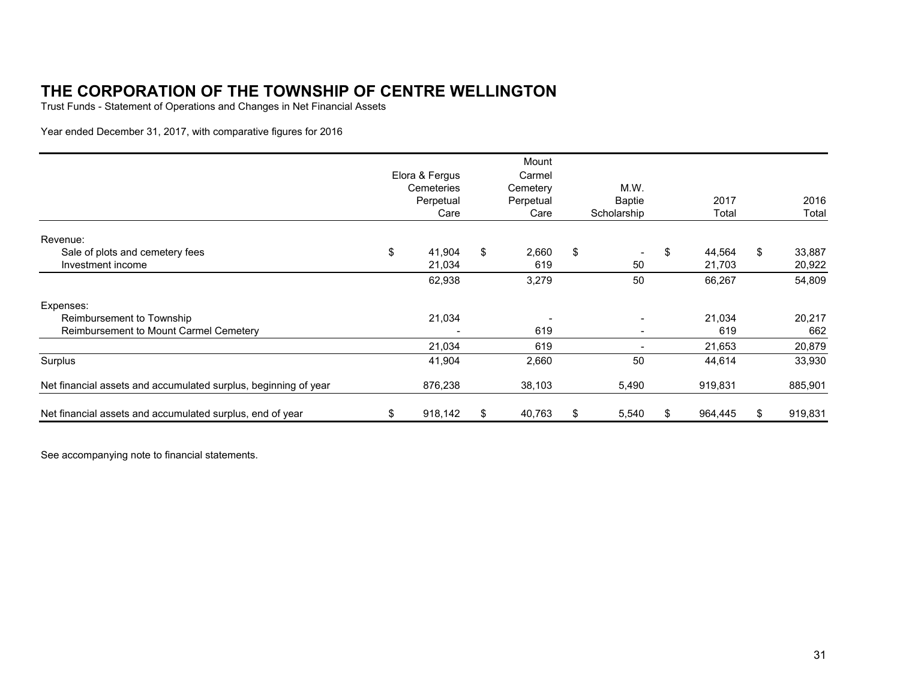Trust Funds - Statement of Operations and Changes in Net Financial Assets

Year ended December 31, 2017, with comparative figures for 2016

|                                                                 | Elora & Fergus<br>Cemeteries<br>Perpetual<br>Care |     | Mount<br>Carmel<br>Cemetery<br>Perpetual<br>Care |    | M.W.<br><b>Baptie</b><br>Scholarship |     | 2017<br>Total    |     | 2016<br>Total    |
|-----------------------------------------------------------------|---------------------------------------------------|-----|--------------------------------------------------|----|--------------------------------------|-----|------------------|-----|------------------|
| Revenue:                                                        |                                                   |     |                                                  |    |                                      |     |                  |     |                  |
| Sale of plots and cemetery fees<br>Investment income            | \$<br>41,904<br>21,034                            | \$  | 2,660<br>619                                     | \$ | $\overline{\phantom{a}}$<br>50       | \$  | 44,564<br>21,703 | \$  | 33,887<br>20,922 |
|                                                                 | 62,938                                            |     | 3,279                                            |    | 50                                   |     | 66,267           |     | 54,809           |
| Expenses:                                                       |                                                   |     |                                                  |    |                                      |     |                  |     |                  |
| Reimbursement to Township                                       | 21,034                                            |     |                                                  |    |                                      |     | 21,034           |     | 20,217           |
| Reimbursement to Mount Carmel Cemetery                          |                                                   |     | 619                                              |    | $\overline{\phantom{a}}$             |     | 619              |     | 662              |
|                                                                 | 21,034                                            |     | 619                                              |    |                                      |     | 21,653           |     | 20,879           |
| Surplus                                                         | 41,904                                            |     | 2,660                                            |    | 50                                   |     | 44,614           |     | 33,930           |
| Net financial assets and accumulated surplus, beginning of year | 876,238                                           |     | 38,103                                           |    | 5,490                                |     | 919,831          |     | 885,901          |
| Net financial assets and accumulated surplus, end of year       | \$<br>918,142                                     | \$. | 40,763                                           | Ж, | 5,540                                | \$. | 964,445          | \$. | 919,831          |

See accompanying note to financial statements.